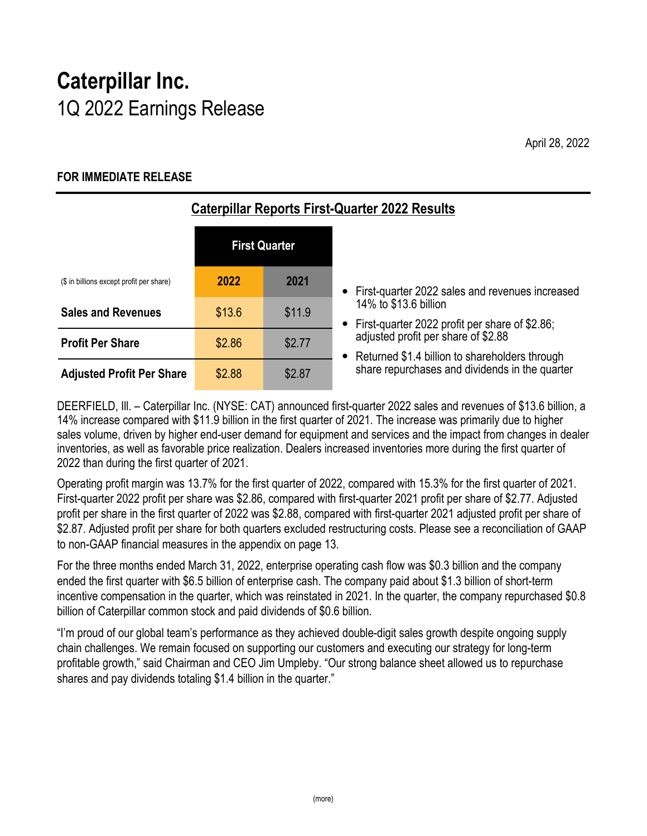# **Caterpillar Inc.** 1Q 2022 Earnings Release

April 28, 2022

# **FOR IMMEDIATE RELEASE**

|                                          |        |                      | <b>Caterpillar Reports First-Quarter 2022 Results</b>                                   |
|------------------------------------------|--------|----------------------|-----------------------------------------------------------------------------------------|
|                                          |        | <b>First Quarter</b> |                                                                                         |
| (\$ in billions except profit per share) | 2022   | 2021                 | • First-quarter 2022 sales and revenues increased                                       |
| <b>Sales and Revenues</b>                | \$13.6 | \$11.9               | 14% to \$13.6 billion<br>• First-quarter 2022 profit per share of \$2.86;               |
| <b>Profit Per Share</b>                  | \$2.86 | \$2.77               | adjusted profit per share of \$2.88<br>• Returned \$1.4 billion to shareholders through |
| <b>Adjusted Profit Per Share</b>         | \$2.88 | \$2.87               | share repurchases and dividends in the quarter                                          |

DEERFIELD, Ill. – Caterpillar Inc. (NYSE: CAT) announced first-quarter 2022 sales and revenues of \$13.6 billion, a 14% increase compared with \$11.9 billion in the first quarter of 2021. The increase was primarily due to higher sales volume, driven by higher end-user demand for equipment and services and the impact from changes in dealer inventories, as well as favorable price realization. Dealers increased inventories more during the first quarter of 2022 than during the first quarter of 2021.

Operating profit margin was 13.7% for the first quarter of 2022, compared with 15.3% for the first quarter of 2021. First-quarter 2022 profit per share was \$2.86, compared with first-quarter 2021 profit per share of \$2.77. Adjusted profit per share in the first quarter of 2022 was \$2.88, compared with first-quarter 2021 adjusted profit per share of \$2.87. Adjusted profit per share for both quarters excluded restructuring costs. Please see a reconciliation of GAAP to non-GAAP financial measures in the appendix on page 13.

For the three months ended March 31, 2022, enterprise operating cash flow was \$0.3 billion and the company ended the first quarter with \$6.5 billion of enterprise cash. The company paid about \$1.3 billion of short-term incentive compensation in the quarter, which was reinstated in 2021. In the quarter, the company repurchased \$0.8 billion of Caterpillar common stock and paid dividends of \$0.6 billion.

"I'm proud of our global team's performance as they achieved double-digit sales growth despite ongoing supply chain challenges. We remain focused on supporting our customers and executing our strategy for long-term profitable growth," said Chairman and CEO Jim Umpleby. "Our strong balance sheet allowed us to repurchase shares and pay dividends totaling \$1.4 billion in the quarter."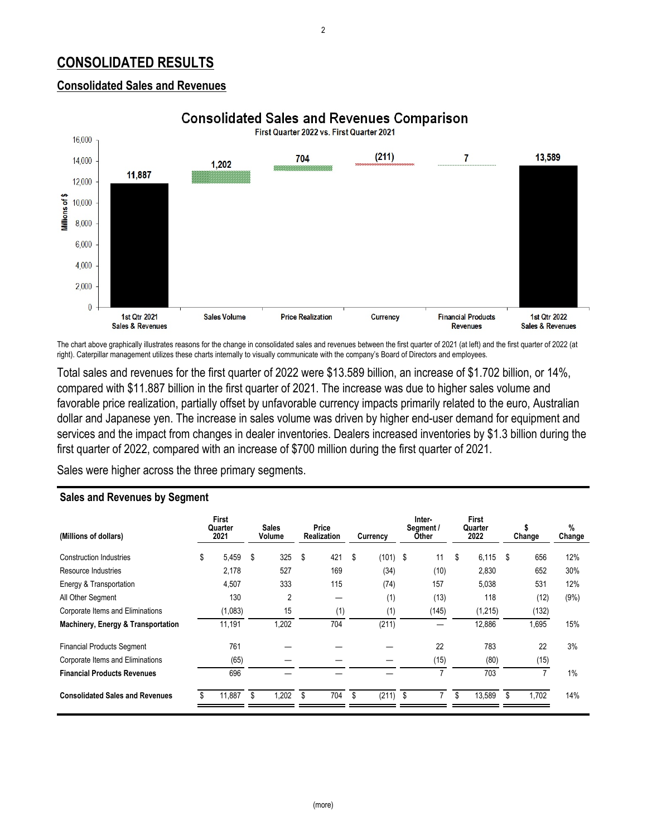# **CONSOLIDATED RESULTS**

# **Consolidated Sales and Revenues**



**Consolidated Sales and Revenues Comparison** 

The chart above graphically illustrates reasons for the change in consolidated sales and revenues between the first quarter of 2021 (at left) and the first quarter of 2022 (at right). Caterpillar management utilizes these charts internally to visually communicate with the company's Board of Directors and employees.

Total sales and revenues for the first quarter of 2022 were \$13.589 billion, an increase of \$1.702 billion, or 14%, compared with \$11.887 billion in the first quarter of 2021. The increase was due to higher sales volume and favorable price realization, partially offset by unfavorable currency impacts primarily related to the euro, Australian dollar and Japanese yen. The increase in sales volume was driven by higher end-user demand for equipment and services and the impact from changes in dealer inventories. Dealers increased inventories by \$1.3 billion during the first quarter of 2022, compared with an increase of \$700 million during the first quarter of 2021.

Sales were higher across the three primary segments.

### **Sales and Revenues by Segment**

| (Millions of dollars)                  | <b>First</b><br>Quarter<br>2021 | <b>Sales</b><br>Volume | Price<br><b>Realization</b> | Currency         | Inter-<br>Segment /<br>Other | <b>First</b><br>Quarter<br>2022 | s<br>Change | %<br>Change |
|----------------------------------------|---------------------------------|------------------------|-----------------------------|------------------|------------------------------|---------------------------------|-------------|-------------|
| Construction Industries                | \$<br>5,459                     | \$<br>325              | \$<br>421                   | \$<br>$(101)$ \$ | 11                           | \$<br>6,115                     | \$<br>656   | 12%         |
| Resource Industries                    | 2,178                           | 527                    | 169                         | (34)             | (10)                         | 2,830                           | 652         | 30%         |
| Energy & Transportation                | 4,507                           | 333                    | 115                         | (74)             | 157                          | 5,038                           | 531         | 12%         |
| All Other Segment                      | 130                             | 2                      |                             | (1)              | (13)                         | 118                             | (12)        | (9% )       |
| Corporate Items and Eliminations       | (1,083)                         | 15                     | (1)                         | (1)              | (145)                        | (1, 215)                        | (132)       |             |
| Machinery, Energy & Transportation     | 11,191                          | 1,202                  | 704                         | (211)            |                              | 12,886                          | 1,695       | 15%         |
| <b>Financial Products Segment</b>      | 761                             |                        |                             |                  | 22                           | 783                             | 22          | 3%          |
| Corporate Items and Eliminations       | (65)                            |                        |                             |                  | (15)                         | (80)                            | (15)        |             |
| <b>Financial Products Revenues</b>     | 696                             |                        |                             |                  |                              | 703                             |             | 1%          |
| <b>Consolidated Sales and Revenues</b> | \$<br>11,887                    | \$<br>1,202            | \$<br>704                   | \$<br>$(211)$ \$ | 7                            | \$<br>13,589                    | \$<br>1,702 | 14%         |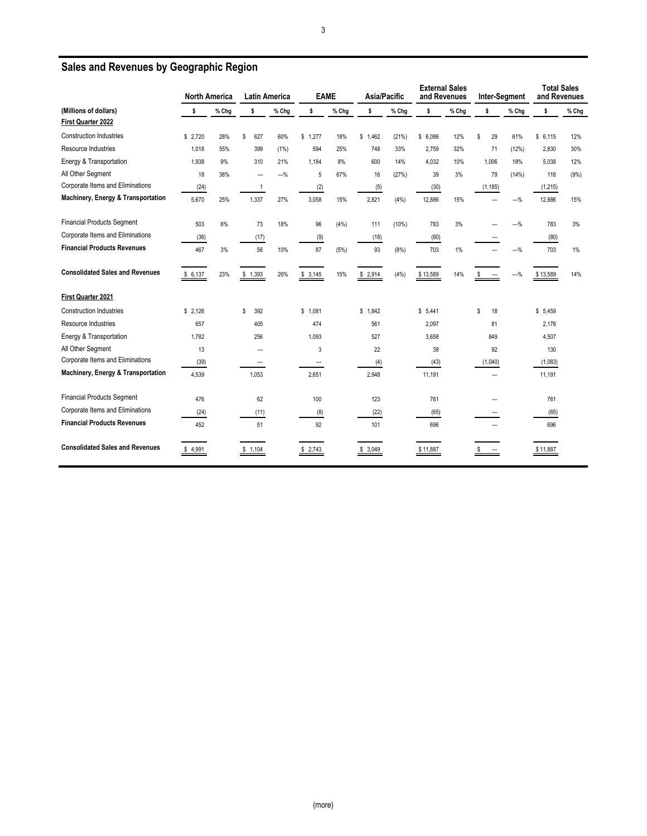|                                        | <b>North America</b> |       | <b>Latin America</b> |         | <b>EAME</b> |       |         | Asia/Pacific | <b>External Sales</b><br>and Revenues |       |          | <b>Inter-Segment</b> | <b>Total Sales</b><br>and Revenues |         |
|----------------------------------------|----------------------|-------|----------------------|---------|-------------|-------|---------|--------------|---------------------------------------|-------|----------|----------------------|------------------------------------|---------|
| (Millions of dollars)                  | Ŝ                    | % Chg | \$                   | % Chg   | \$          | % Chg | \$      | % Chg        | \$                                    | % Chg | \$       | % Chg                | \$                                 | $%$ Chg |
| First Quarter 2022                     |                      |       |                      |         |             |       |         |              |                                       |       |          |                      |                                    |         |
| <b>Construction Industries</b>         | \$2,720              | 28%   | \$<br>627            | 60%     | \$1,277     | 18%   | \$1,462 | (21%)        | \$6,086                               | 12%   | \$       | 29<br>61%            | \$6,115                            | 12%     |
| Resource Industries                    | 1,018                | 55%   | 399                  | $(1\%)$ | 594         | 25%   | 748     | 33%          | 2.759                                 | 32%   |          | 71<br>(12%)          | 2.830                              | 30%     |
| Energy & Transportation                | 1,938                | 9%    | 310                  | 21%     | 1.184       | 8%    | 600     | 14%          | 4,032                                 | 10%   | 1.006    | 18%                  | 5.038                              | 12%     |
| All Other Segment                      | 18                   | 38%   |                      | $-\%$   | 5           | 67%   | 16      | (27%)        | 39                                    | 3%    |          | 79<br>(14%)          | 118                                | (9% )   |
| Corporate Items and Eliminations       | (24)                 |       | $\overline{1}$       |         | (2)         |       | (5)     |              | (30)                                  |       | (1, 185) |                      | (1, 215)                           |         |
| Machinery, Energy & Transportation     | 5,670                | 25%   | 1,337                | 27%     | 3,058       | 15%   | 2,821   | (4% )        | 12,886                                | 15%   |          | $-$ %                | 12,886                             | 15%     |
| <b>Financial Products Segment</b>      | 503                  | 6%    | 73                   | 18%     | 96          | (4% ) | 111     | (10%)        | 783                                   | 3%    |          | $-%$                 | 783                                | 3%      |
| Corporate Items and Eliminations       | (36)                 |       | (17)                 |         | (9)         |       | (18)    |              | (80)                                  |       |          |                      | (80)                               |         |
| <b>Financial Products Revenues</b>     | 467                  | 3%    | 56                   | 10%     | 87          | (5%)  | 93      | (8%)         | 703                                   | 1%    |          | $-$ %                | 703                                | 1%      |
| <b>Consolidated Sales and Revenues</b> | \$6,137              | 23%   | \$1,393              | 26%     | \$3,145     | 15%   | \$2,914 | (4% )        | \$13,589                              | 14%   | S.       | $-\%$                | \$13,589                           | 14%     |
| First Quarter 2021                     |                      |       |                      |         |             |       |         |              |                                       |       |          |                      |                                    |         |
| <b>Construction Industries</b>         | \$2,126              |       | \$<br>392            |         | \$1,081     |       | \$1,842 |              | \$5.441                               |       | \$       | 18                   | \$5,459                            |         |
| Resource Industries                    | 657                  |       | 405                  |         | 474         |       | 561     |              | 2,097                                 |       |          | 81                   | 2,178                              |         |
| Energy & Transportation                | 1.782                |       | 256                  |         | 1,093       |       | 527     |              | 3.658                                 |       |          | 849                  | 4,507                              |         |
| All Other Segment                      | 13                   |       |                      |         | 3           |       | 22      |              | 38                                    |       |          | 92                   | 130                                |         |
| Corporate Items and Eliminations       | (39)                 |       |                      |         |             |       | (4)     |              | (43)                                  |       | (1,040)  |                      | (1,083)                            |         |
| Machinery, Energy & Transportation     | 4,539                |       | 1,053                |         | 2,651       |       | 2,948   |              | 11,191                                |       |          |                      | 11,191                             |         |
| <b>Financial Products Segment</b>      | 476                  |       | 62                   |         | 100         |       | 123     |              | 761                                   |       |          |                      | 761                                |         |
| Corporate Items and Eliminations       | (24)                 |       | (11)                 |         | (8)         |       | (22)    |              | (65)                                  |       |          |                      | (65)                               |         |
| <b>Financial Products Revenues</b>     | 452                  |       | 51                   |         | 92          |       | 101     |              | 696                                   |       |          |                      | 696                                |         |
| <b>Consolidated Sales and Revenues</b> | \$4,991              |       | \$1,104              |         | \$2,743     |       | \$3,049 |              | \$11,887                              |       |          |                      | \$11,887                           |         |

# **Sales and Revenues by Geographic Region**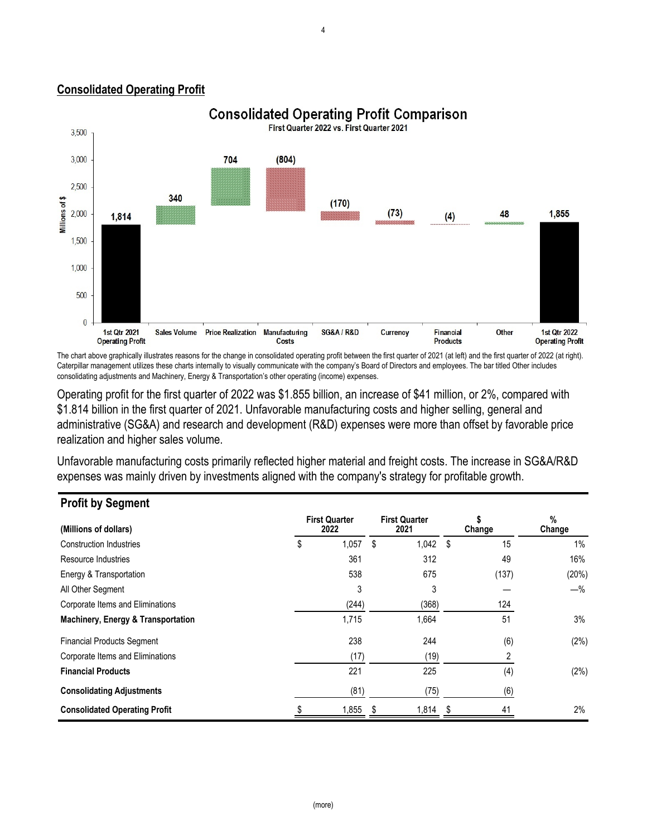

# **Consolidated Operating Profit**

The chart above graphically illustrates reasons for the change in consolidated operating profit between the first quarter of 2021 (at left) and the first quarter of 2022 (at right). Caterpillar management utilizes these charts internally to visually communicate with the company's Board of Directors and employees. The bar titled Other includes consolidating adjustments and Machinery, Energy & Transportation's other operating (income) expenses.

Operating profit for the first quarter of 2022 was \$1.855 billion, an increase of \$41 million, or 2%, compared with \$1.814 billion in the first quarter of 2021. Unfavorable manufacturing costs and higher selling, general and administrative (SG&A) and research and development (R&D) expenses were more than offset by favorable price realization and higher sales volume.

Unfavorable manufacturing costs primarily reflected higher material and freight costs. The increase in SG&A/R&D expenses was mainly driven by investments aligned with the company's strategy for profitable growth.

| <b>Profit by Segment</b>                      |                              |       |                              |             |             |
|-----------------------------------------------|------------------------------|-------|------------------------------|-------------|-------------|
| (Millions of dollars)                         | <b>First Quarter</b><br>2022 |       | <b>First Quarter</b><br>2021 | S<br>Change | %<br>Change |
| <b>Construction Industries</b>                | 1,057<br>\$                  |       | 1,042<br>\$                  | \$<br>15    | $1\%$       |
| Resource Industries                           |                              | 361   | 312                          | 49          | 16%         |
| Energy & Transportation                       |                              | 538   | 675                          | (137)       | (20%)       |
| All Other Segment                             |                              | 3     | 3                            |             | $-\%$       |
| Corporate Items and Eliminations              |                              | (244) | (368)                        | 124         |             |
| <b>Machinery, Energy &amp; Transportation</b> | 1,715                        |       | 1,664                        | 51          | 3%          |
| <b>Financial Products Segment</b>             |                              | 238   | 244                          | (6)         | (2%)        |
| Corporate Items and Eliminations              |                              | (17)  | (19)                         | 2           |             |
| <b>Financial Products</b>                     |                              | 221   | 225                          | (4)         | (2%)        |
| <b>Consolidating Adjustments</b>              |                              | (81)  | (75)                         | (6)         |             |
| <b>Consolidated Operating Profit</b>          | 1,855                        |       | 1,814                        | 41          | 2%          |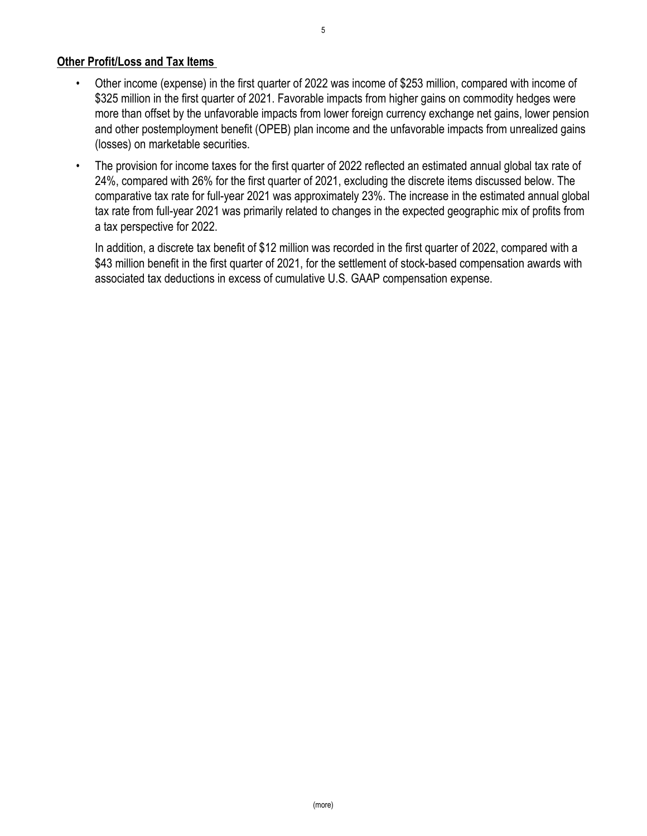# **Other Profit/Loss and Tax Items**

- Other income (expense) in the first quarter of 2022 was income of \$253 million, compared with income of \$325 million in the first quarter of 2021. Favorable impacts from higher gains on commodity hedges were more than offset by the unfavorable impacts from lower foreign currency exchange net gains, lower pension and other postemployment benefit (OPEB) plan income and the unfavorable impacts from unrealized gains (losses) on marketable securities.
- The provision for income taxes for the first quarter of 2022 reflected an estimated annual global tax rate of 24%, compared with 26% for the first quarter of 2021, excluding the discrete items discussed below. The comparative tax rate for full-year 2021 was approximately 23%. The increase in the estimated annual global tax rate from full-year 2021 was primarily related to changes in the expected geographic mix of profits from a tax perspective for 2022.

In addition, a discrete tax benefit of \$12 million was recorded in the first quarter of 2022, compared with a \$43 million benefit in the first quarter of 2021, for the settlement of stock-based compensation awards with associated tax deductions in excess of cumulative U.S. GAAP compensation expense.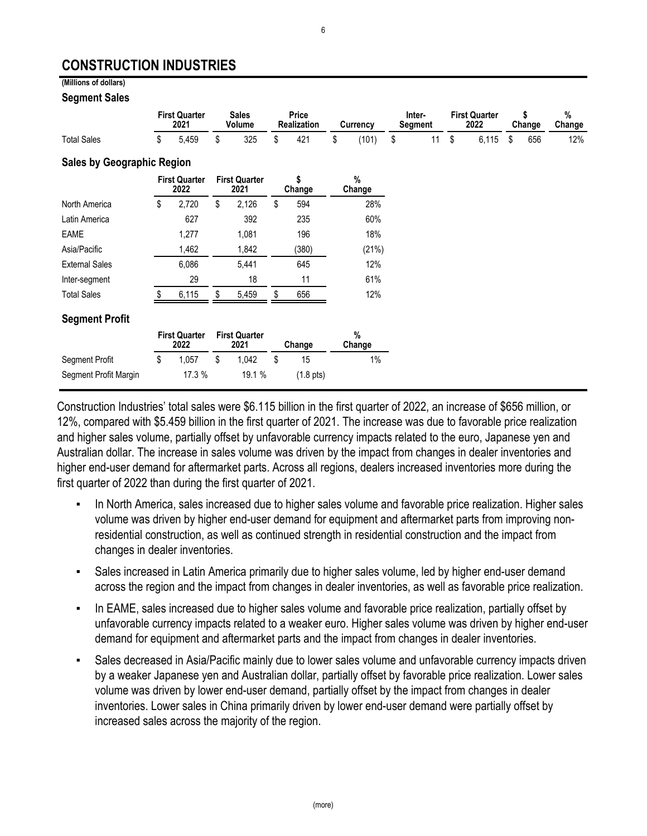# **CONSTRUCTION INDUSTRIES**

# **(Millions of dollars)**

#### **Segment Sales**

|                    | <b>First Quarter</b><br>2021 | Sales<br>Volume | Price<br><b>Realization</b> | Currencv |      | Inter-<br><b>Segment</b> | <b>First Quarter</b><br>2022 | Change | %<br>Change |
|--------------------|------------------------------|-----------------|-----------------------------|----------|------|--------------------------|------------------------------|--------|-------------|
| <b>Total Sales</b> | 5.459                        | $325$ \$        | 421                         | (101)    | . \$ | 11 S                     | 6.115 \$                     | 656    | 12%         |

### **Sales by Geographic Region**

|                       | <b>First Quarter</b><br>2022 | <b>First Quarter</b><br>2021 | \$<br>Change        | %<br>Change |
|-----------------------|------------------------------|------------------------------|---------------------|-------------|
| North America         | \$<br>2,720                  | \$<br>2,126                  | \$<br>594           | 28%         |
| Latin America         | 627                          | 392                          | 235                 | 60%         |
| <b>EAME</b>           | 1,277                        | 1,081                        | 196                 | 18%         |
| Asia/Pacific          | 1,462                        | 1,842                        | (380)               | (21%)       |
| <b>External Sales</b> | 6.086                        | 5,441                        | 645                 | 12%         |
| Inter-segment         | 29                           | 18                           | 11                  | 61%         |
| <b>Total Sales</b>    | \$<br>6,115                  | \$<br>5,459                  | \$<br>656           | 12%         |
| <b>Segment Profit</b> |                              |                              |                     |             |
|                       | <b>First Quarter</b><br>2022 | <b>First Quarter</b><br>2021 | Change              | %<br>Change |
| <b>Segment Profit</b> | \$<br>1,057                  | \$<br>1.042                  | \$<br>15            | 1%          |
| Segment Profit Margin | 17.3 %                       | 19.1 %                       | $(1.8 \text{ pts})$ |             |

Construction Industries' total sales were \$6.115 billion in the first quarter of 2022, an increase of \$656 million, or 12%, compared with \$5.459 billion in the first quarter of 2021. The increase was due to favorable price realization and higher sales volume, partially offset by unfavorable currency impacts related to the euro, Japanese yen and Australian dollar. The increase in sales volume was driven by the impact from changes in dealer inventories and higher end-user demand for aftermarket parts. Across all regions, dealers increased inventories more during the first quarter of 2022 than during the first quarter of 2021.

- In North America, sales increased due to higher sales volume and favorable price realization. Higher sales volume was driven by higher end-user demand for equipment and aftermarket parts from improving nonresidential construction, as well as continued strength in residential construction and the impact from changes in dealer inventories.
- Sales increased in Latin America primarily due to higher sales volume, led by higher end-user demand across the region and the impact from changes in dealer inventories, as well as favorable price realization.
- In EAME, sales increased due to higher sales volume and favorable price realization, partially offset by unfavorable currency impacts related to a weaker euro. Higher sales volume was driven by higher end-user demand for equipment and aftermarket parts and the impact from changes in dealer inventories.
- Sales decreased in Asia/Pacific mainly due to lower sales volume and unfavorable currency impacts driven by a weaker Japanese yen and Australian dollar, partially offset by favorable price realization. Lower sales volume was driven by lower end-user demand, partially offset by the impact from changes in dealer inventories. Lower sales in China primarily driven by lower end-user demand were partially offset by increased sales across the majority of the region.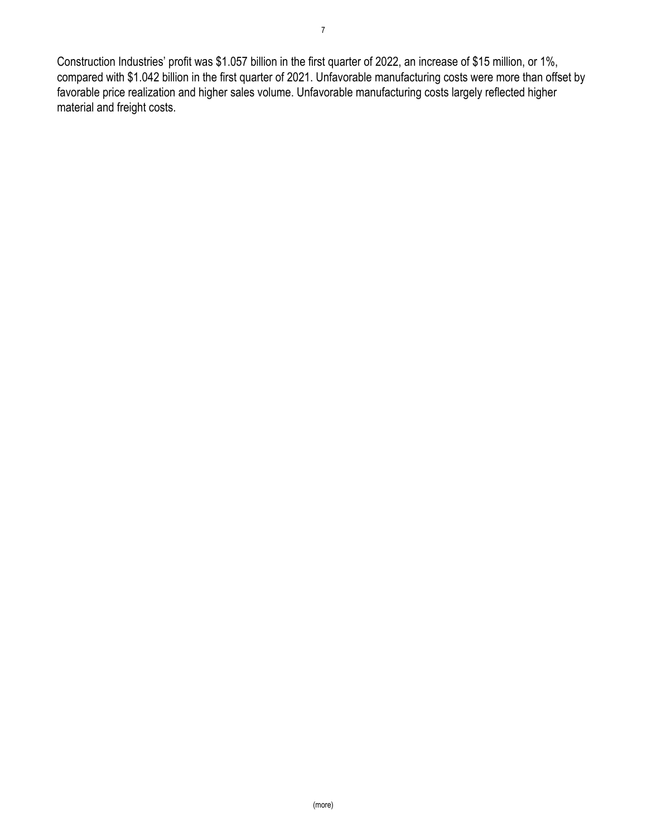Construction Industries' profit was \$1.057 billion in the first quarter of 2022, an increase of \$15 million, or 1%, compared with \$1.042 billion in the first quarter of 2021. Unfavorable manufacturing costs were more than offset by favorable price realization and higher sales volume. Unfavorable manufacturing costs largely reflected higher material and freight costs.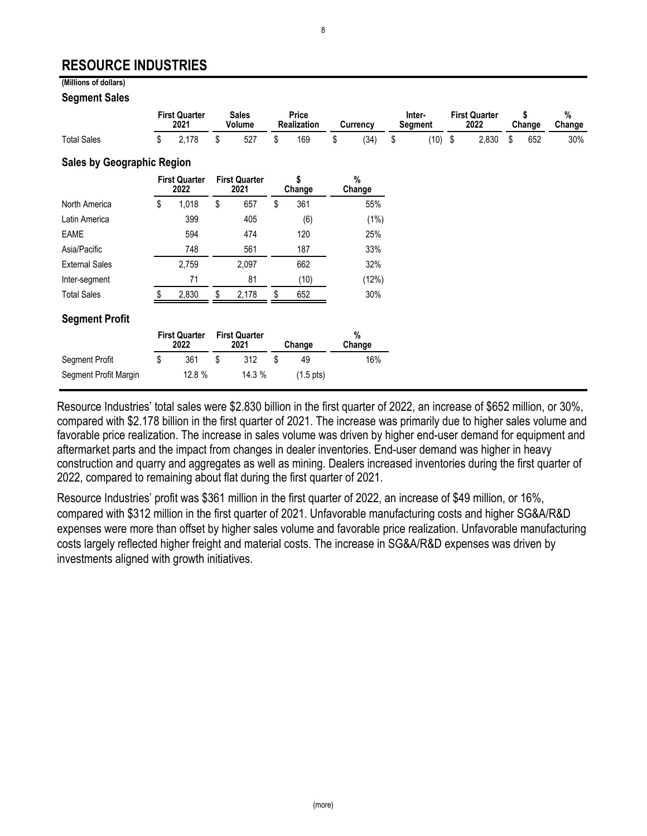# **RESOURCE INDUSTRIES**

# **(Millions of dollars)**

#### **Segment Sales**

|                    | <b>First Quarter</b><br>2021 | Sales<br>Volume | Price<br><b>Realization</b> | Currency | Inter-<br><b>Segment</b> | First Quarter<br>2022 | Change | %<br>Change |
|--------------------|------------------------------|-----------------|-----------------------------|----------|--------------------------|-----------------------|--------|-------------|
| <b>Total Sales</b> | 2 178                        | 527             | 169                         | (34)     | (10)                     | 2.830                 | 652    | 30%         |

### **Sales by Geographic Region**

|                       | <b>First Quarter</b><br>2022 | <b>First Quarter</b><br>2021 | \$<br>Change        | %<br>Change |
|-----------------------|------------------------------|------------------------------|---------------------|-------------|
| North America         | \$<br>1,018                  | \$<br>657                    | \$<br>361           | 55%         |
| Latin America         | 399                          | 405                          | (6)                 | (1%)        |
| <b>EAME</b>           | 594                          | 474                          | 120                 | 25%         |
| Asia/Pacific          | 748                          | 561                          | 187                 | 33%         |
| <b>External Sales</b> | 2,759                        | 2,097                        | 662                 | 32%         |
| Inter-segment         | 71                           | 81                           | (10)                | (12%)       |
| <b>Total Sales</b>    | \$<br>2,830                  | \$<br>2,178                  | \$<br>652           | 30%         |
| <b>Segment Profit</b> |                              |                              |                     |             |
|                       | <b>First Quarter</b><br>2022 | <b>First Quarter</b><br>2021 | Change              | %<br>Change |
| <b>Segment Profit</b> | \$<br>361                    | \$<br>312                    | \$<br>49            | 16%         |
| Segment Profit Margin | 12.8 %                       | 14.3 %                       | $(1.5 \text{ pts})$ |             |

Resource Industries' total sales were \$2.830 billion in the first quarter of 2022, an increase of \$652 million, or 30%, compared with \$2.178 billion in the first quarter of 2021. The increase was primarily due to higher sales volume and favorable price realization. The increase in sales volume was driven by higher end-user demand for equipment and aftermarket parts and the impact from changes in dealer inventories. End-user demand was higher in heavy construction and quarry and aggregates as well as mining. Dealers increased inventories during the first quarter of 2022, compared to remaining about flat during the first quarter of 2021.

Resource Industries' profit was \$361 million in the first quarter of 2022, an increase of \$49 million, or 16%, compared with \$312 million in the first quarter of 2021. Unfavorable manufacturing costs and higher SG&A/R&D expenses were more than offset by higher sales volume and favorable price realization. Unfavorable manufacturing costs largely reflected higher freight and material costs. The increase in SG&A/R&D expenses was driven by investments aligned with growth initiatives.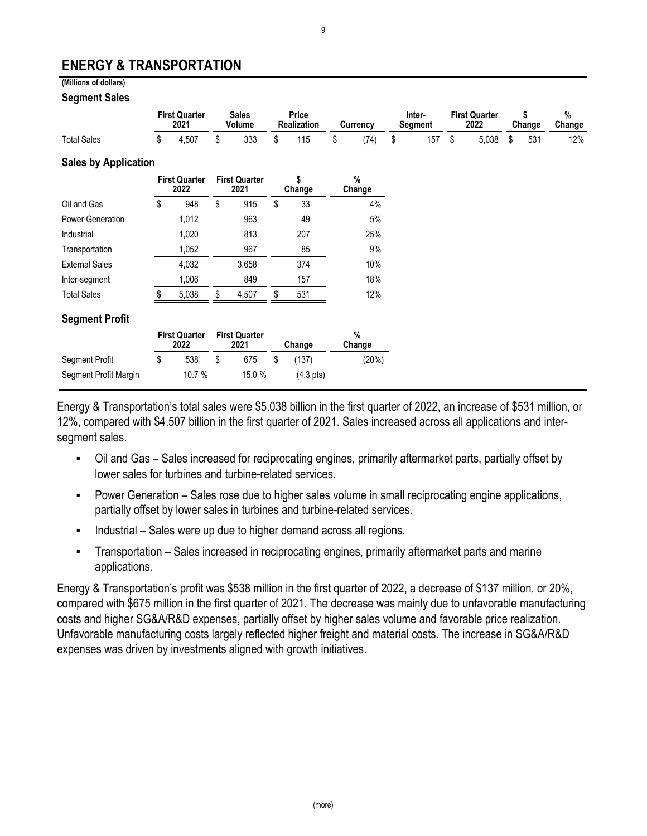# **ENERGY & TRANSPORTATION**

#### **(Millions of dollars) Segment Sales**

|                    | <b>First Quarter</b><br>2021 | <b>Sales</b><br>Volume |              | Price<br><b>Realization</b> |    | Currencv |    | Inter-<br><b>Segment</b> | <b>First Quarter</b><br>2022 | Change | %<br>Change |
|--------------------|------------------------------|------------------------|--------------|-----------------------------|----|----------|----|--------------------------|------------------------------|--------|-------------|
| <b>Total Sales</b> | 4.507                        | 333                    | $\mathbb{S}$ | 115                         | S. | (74)     | -S | 157                      | $5.038$ \$                   | 531    | 12%         |

### **Sales by Application**

|                       |       | <b>First Quarter</b><br>2022 | <b>First Quarter</b><br>2021 | \$<br>Change        | %<br>Change |
|-----------------------|-------|------------------------------|------------------------------|---------------------|-------------|
| Oil and Gas           | \$    | 948                          | \$<br>915                    | \$<br>33            | 4%          |
| Power Generation      |       | 1.012                        | 963                          | 49                  | 5%          |
| Industrial            |       | 1,020                        | 813                          | 207                 | 25%         |
| Transportation        |       | 1,052                        | 967                          | 85                  | 9%          |
| <b>External Sales</b> | 4.032 |                              | 3,658                        | 374                 | 10%         |
| Inter-segment         |       | 1,006                        | 849                          | 157                 | 18%         |
| <b>Total Sales</b>    | \$    | 5,038                        | \$<br>4,507                  | \$<br>531           | 12%         |
| <b>Segment Profit</b> |       |                              |                              |                     |             |
|                       |       | <b>First Quarter</b><br>2022 | <b>First Quarter</b><br>2021 | Change              | %<br>Change |
| <b>Segment Profit</b> | \$    | 538                          | \$<br>675                    | \$<br>(137)         | (20%)       |
| Segment Profit Margin |       | 10.7 %                       | 15.0 %                       | $(4.3 \text{ pts})$ |             |

Energy & Transportation's total sales were \$5.038 billion in the first quarter of 2022, an increase of \$531 million, or 12%, compared with \$4.507 billion in the first quarter of 2021. Sales increased across all applications and intersegment sales.

- Oil and Gas Sales increased for reciprocating engines, primarily aftermarket parts, partially offset by lower sales for turbines and turbine-related services.
- Power Generation Sales rose due to higher sales volume in small reciprocating engine applications, partially offset by lower sales in turbines and turbine-related services.
- Industrial Sales were up due to higher demand across all regions.
- Transportation Sales increased in reciprocating engines, primarily aftermarket parts and marine applications.

Energy & Transportation's profit was \$538 million in the first quarter of 2022, a decrease of \$137 million, or 20%, compared with \$675 million in the first quarter of 2021. The decrease was mainly due to unfavorable manufacturing costs and higher SG&A/R&D expenses, partially offset by higher sales volume and favorable price realization. Unfavorable manufacturing costs largely reflected higher freight and material costs. The increase in SG&A/R&D expenses was driven by investments aligned with growth initiatives.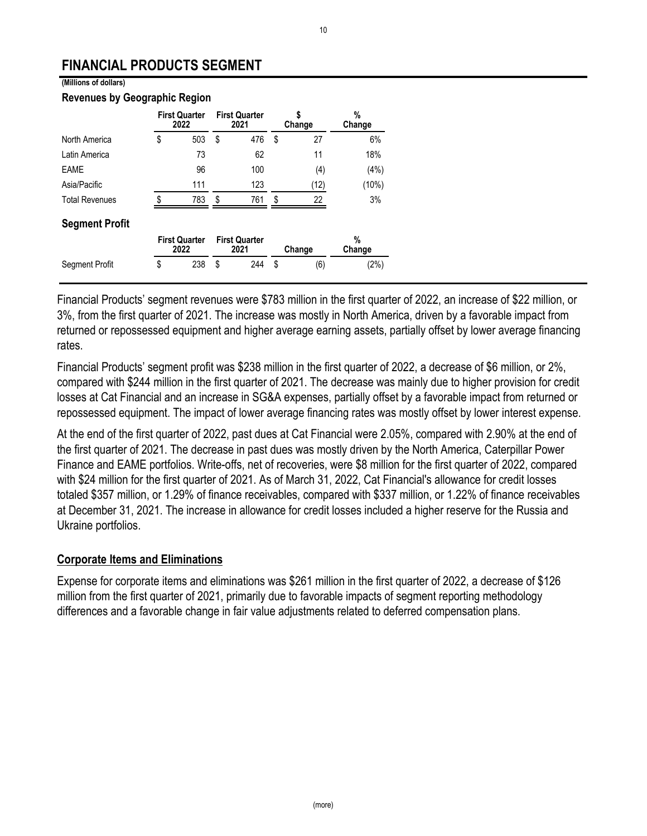# **FINANCIAL PRODUCTS SEGMENT**

#### **(Millions of dollars)**

### **Revenues by Geographic Region**

|                       |     | <b>First Quarter</b><br>2022 |    | <b>First Quarter</b><br>2021 |    | S<br>Change | %<br>Change |
|-----------------------|-----|------------------------------|----|------------------------------|----|-------------|-------------|
| North America         | \$  | 503                          | \$ | 476                          | \$ | 27          | 6%          |
| Latin America         |     | 73                           |    | 62                           |    | 11          | 18%         |
| <b>EAME</b>           |     | 96                           |    | 100                          |    | (4)         | (4% )       |
| Asia/Pacific          |     | 111                          |    | 123                          |    | (12)        | (10%)       |
| <b>Total Revenues</b> | \$. | 783                          | S  | 761                          | S  | 22          | 3%          |
| <b>Segment Profit</b> |     |                              |    |                              |    |             |             |
|                       |     | <b>First Quarter</b><br>2022 |    | <b>First Quarter</b><br>2021 |    | Change      | %<br>Change |
| <b>Segment Profit</b> | \$  | 238                          | S  | 244                          | \$ | (6)         | (2%)        |

Financial Products' segment revenues were \$783 million in the first quarter of 2022, an increase of \$22 million, or 3%, from the first quarter of 2021. The increase was mostly in North America, driven by a favorable impact from returned or repossessed equipment and higher average earning assets, partially offset by lower average financing rates.

Financial Products' segment profit was \$238 million in the first quarter of 2022, a decrease of \$6 million, or 2%, compared with \$244 million in the first quarter of 2021. The decrease was mainly due to higher provision for credit losses at Cat Financial and an increase in SG&A expenses, partially offset by a favorable impact from returned or repossessed equipment. The impact of lower average financing rates was mostly offset by lower interest expense.

At the end of the first quarter of 2022, past dues at Cat Financial were 2.05%, compared with 2.90% at the end of the first quarter of 2021. The decrease in past dues was mostly driven by the North America, Caterpillar Power Finance and EAME portfolios. Write-offs, net of recoveries, were \$8 million for the first quarter of 2022, compared with \$24 million for the first quarter of 2021. As of March 31, 2022, Cat Financial's allowance for credit losses totaled \$357 million, or 1.29% of finance receivables, compared with \$337 million, or 1.22% of finance receivables at December 31, 2021. The increase in allowance for credit losses included a higher reserve for the Russia and Ukraine portfolios.

# **Corporate Items and Eliminations**

Expense for corporate items and eliminations was \$261 million in the first quarter of 2022, a decrease of \$126 million from the first quarter of 2021, primarily due to favorable impacts of segment reporting methodology differences and a favorable change in fair value adjustments related to deferred compensation plans.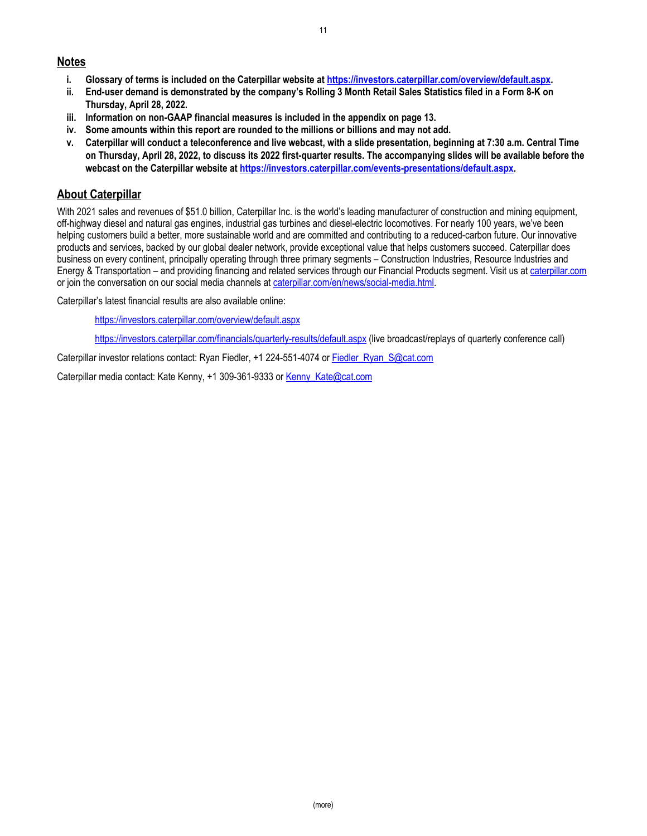### **Notes**

- **i. Glossary of terms is included on the Caterpillar website at https://investors.caterpillar.com/overview/default.aspx.**
- **ii. End-user demand is demonstrated by the company's Rolling 3 Month Retail Sales Statistics filed in a Form 8-K on Thursday, April 28, 2022.**
- **iii. Information on non-GAAP financial measures is included in the appendix on page 13.**
- **iv. Some amounts within this report are rounded to the millions or billions and may not add.**
- **v. Caterpillar will conduct a teleconference and live webcast, with a slide presentation, beginning at 7:30 a.m. Central Time on Thursday, April 28, 2022, to discuss its 2022 first-quarter results. The accompanying slides will be available before the webcast on the Caterpillar website at https://investors.caterpillar.com/events-presentations/default.aspx.**

# **About Caterpillar**

With 2021 sales and revenues of \$51.0 billion, Caterpillar Inc. is the world's leading manufacturer of construction and mining equipment, off-highway diesel and natural gas engines, industrial gas turbines and diesel-electric locomotives. For nearly 100 years, we've been helping customers build a better, more sustainable world and are committed and contributing to a reduced-carbon future. Our innovative products and services, backed by our global dealer network, provide exceptional value that helps customers succeed. Caterpillar does business on every continent, principally operating through three primary segments – Construction Industries, Resource Industries and Energy & Transportation – and providing financing and related services through our Financial Products segment. Visit us at caterpillar.com or join the conversation on our social media channels at caterpillar.com/en/news/social-media.html.

Caterpillar's latest financial results are also available online:

https://investors.caterpillar.com/overview/default.aspx

https://investors.caterpillar.com/financials/quarterly-results/default.aspx (live broadcast/replays of quarterly conference call)

Caterpillar investor relations contact: Ryan Fiedler, +1 224-551-4074 or Fiedler\_Ryan\_S@cat.com

Caterpillar media contact: Kate Kenny, +1 309-361-9333 or Kenny\_Kate@cat.com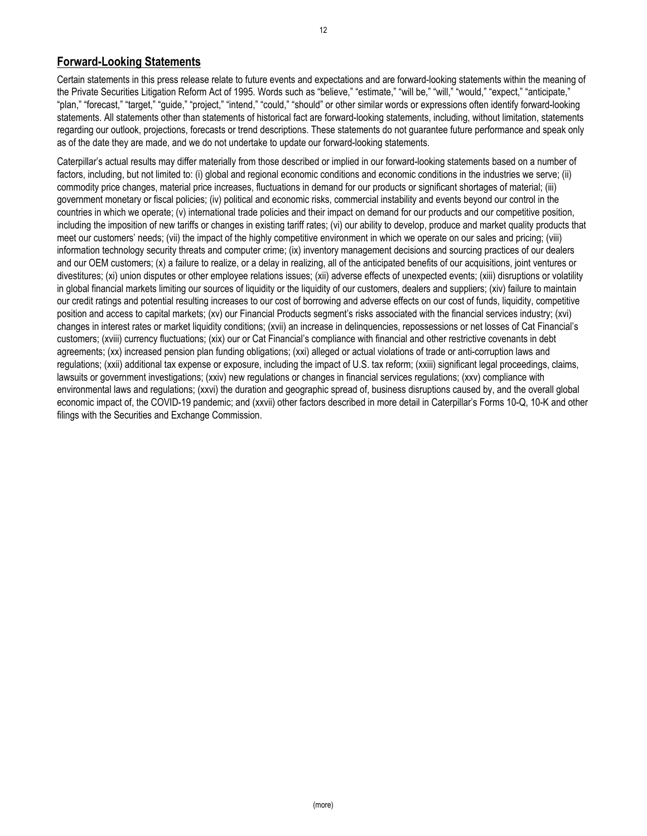# **Forward-Looking Statements**

Certain statements in this press release relate to future events and expectations and are forward-looking statements within the meaning of the Private Securities Litigation Reform Act of 1995. Words such as "believe," "estimate," "will be," "will," "would," "expect," "anticipate," "plan," "forecast," "target," "guide," "project," "intend," "could," "should" or other similar words or expressions often identify forward-looking statements. All statements other than statements of historical fact are forward-looking statements, including, without limitation, statements regarding our outlook, projections, forecasts or trend descriptions. These statements do not guarantee future performance and speak only as of the date they are made, and we do not undertake to update our forward-looking statements.

Caterpillar's actual results may differ materially from those described or implied in our forward-looking statements based on a number of factors, including, but not limited to: (i) global and regional economic conditions and economic conditions in the industries we serve; (ii) commodity price changes, material price increases, fluctuations in demand for our products or significant shortages of material; (iii) government monetary or fiscal policies; (iv) political and economic risks, commercial instability and events beyond our control in the countries in which we operate; (v) international trade policies and their impact on demand for our products and our competitive position, including the imposition of new tariffs or changes in existing tariff rates; (vi) our ability to develop, produce and market quality products that meet our customers' needs; (vii) the impact of the highly competitive environment in which we operate on our sales and pricing; (viii) information technology security threats and computer crime; (ix) inventory management decisions and sourcing practices of our dealers and our OEM customers; (x) a failure to realize, or a delay in realizing, all of the anticipated benefits of our acquisitions, joint ventures or divestitures; (xi) union disputes or other employee relations issues; (xii) adverse effects of unexpected events; (xiii) disruptions or volatility in global financial markets limiting our sources of liquidity or the liquidity of our customers, dealers and suppliers; (xiv) failure to maintain our credit ratings and potential resulting increases to our cost of borrowing and adverse effects on our cost of funds, liquidity, competitive position and access to capital markets; (xv) our Financial Products segment's risks associated with the financial services industry; (xvi) changes in interest rates or market liquidity conditions; (xvii) an increase in delinquencies, repossessions or net losses of Cat Financial's customers; (xviii) currency fluctuations; (xix) our or Cat Financial's compliance with financial and other restrictive covenants in debt agreements; (xx) increased pension plan funding obligations; (xxi) alleged or actual violations of trade or anti-corruption laws and regulations; (xxii) additional tax expense or exposure, including the impact of U.S. tax reform; (xxiii) significant legal proceedings, claims, lawsuits or government investigations; (xxiv) new regulations or changes in financial services regulations; (xxv) compliance with environmental laws and regulations; (xxvi) the duration and geographic spread of, business disruptions caused by, and the overall global economic impact of, the COVID-19 pandemic; and (xxvii) other factors described in more detail in Caterpillar's Forms 10-Q, 10-K and other filings with the Securities and Exchange Commission.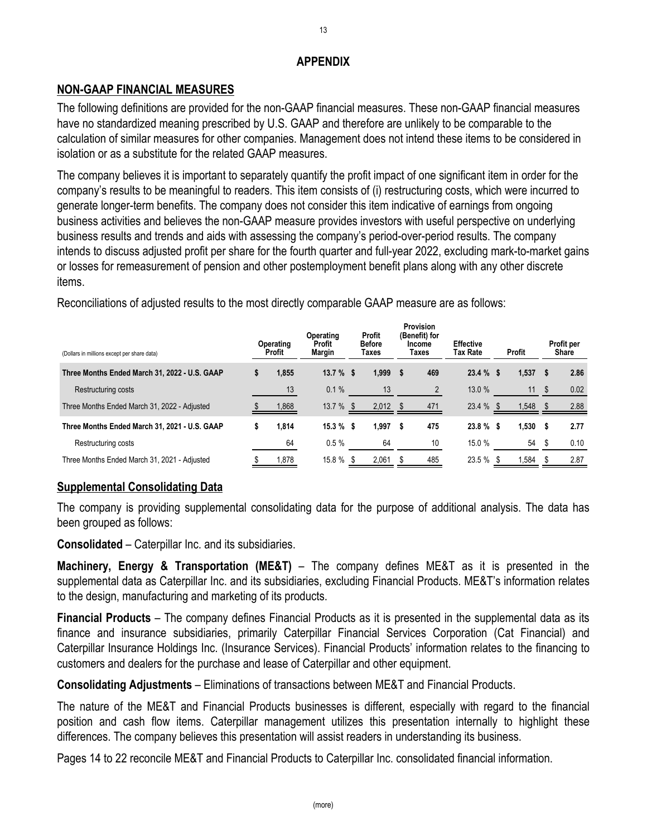# **APPENDIX**

# **NON-GAAP FINANCIAL MEASURES**

The following definitions are provided for the non-GAAP financial measures. These non-GAAP financial measures have no standardized meaning prescribed by U.S. GAAP and therefore are unlikely to be comparable to the calculation of similar measures for other companies. Management does not intend these items to be considered in isolation or as a substitute for the related GAAP measures.

The company believes it is important to separately quantify the profit impact of one significant item in order for the company's results to be meaningful to readers. This item consists of (i) restructuring costs, which were incurred to generate longer-term benefits. The company does not consider this item indicative of earnings from ongoing business activities and believes the non-GAAP measure provides investors with useful perspective on underlying business results and trends and aids with assessing the company's period-over-period results. The company intends to discuss adjusted profit per share for the fourth quarter and full-year 2022, excluding mark-to-market gains or losses for remeasurement of pension and other postemployment benefit plans along with any other discrete items.

|   |       | <b>Operating</b><br>Profit<br><b>Margin</b> | Profit<br><b>Before</b><br>Taxes                       |    | Taxes | <b>Effective</b><br><b>Tax Rate</b>         |   | Profit                                           |     | Profit per<br><b>Share</b> |
|---|-------|---------------------------------------------|--------------------------------------------------------|----|-------|---------------------------------------------|---|--------------------------------------------------|-----|----------------------------|
| 5 | 1,855 |                                             | 1,999                                                  | S  | 469   |                                             |   | 1.537                                            |     | 2.86                       |
|   | 13    | 0.1%                                        | 13                                                     |    |       | 13.0%                                       |   | 11                                               | \$. | 0.02                       |
|   | 1,868 |                                             | 2,012                                                  |    | 471   |                                             |   | 1,548                                            |     | 2.88                       |
| S | 1,814 |                                             | 1,997                                                  | \$ | 475   |                                             | S | 1.530                                            |     | 2.77                       |
|   | 64    | $0.5 \%$                                    | 64                                                     |    | 10    | 15.0 %                                      |   | 54                                               |     | 0.10                       |
|   | 1,878 |                                             | 2,061                                                  |    | 485   |                                             |   | 1,584                                            |     | 2.87                       |
|   |       | Operating<br><b>Profit</b>                  | $13.7 \%$ \$<br>13.7 % \$<br>$15.3 \%$ \$<br>15.8 % \$ |    |       | Provision<br>(Benefit) for<br><b>Income</b> |   | $23.4 \%$ \$<br>$23.4 \%$ \$<br>23.8 %<br>23.5 % |     |                            |

Reconciliations of adjusted results to the most directly comparable GAAP measure are as follows:

# **Supplemental Consolidating Data**

The company is providing supplemental consolidating data for the purpose of additional analysis. The data has been grouped as follows:

**Consolidated** – Caterpillar Inc. and its subsidiaries.

**Machinery, Energy & Transportation (ME&T)** – The company defines ME&T as it is presented in the supplemental data as Caterpillar Inc. and its subsidiaries, excluding Financial Products. ME&T's information relates to the design, manufacturing and marketing of its products.

**Financial Products** – The company defines Financial Products as it is presented in the supplemental data as its finance and insurance subsidiaries, primarily Caterpillar Financial Services Corporation (Cat Financial) and Caterpillar Insurance Holdings Inc. (Insurance Services). Financial Products' information relates to the financing to customers and dealers for the purchase and lease of Caterpillar and other equipment.

**Consolidating Adjustments** – Eliminations of transactions between ME&T and Financial Products.

The nature of the ME&T and Financial Products businesses is different, especially with regard to the financial position and cash flow items. Caterpillar management utilizes this presentation internally to highlight these differences. The company believes this presentation will assist readers in understanding its business.

Pages 14 to 22 reconcile ME&T and Financial Products to Caterpillar Inc. consolidated financial information.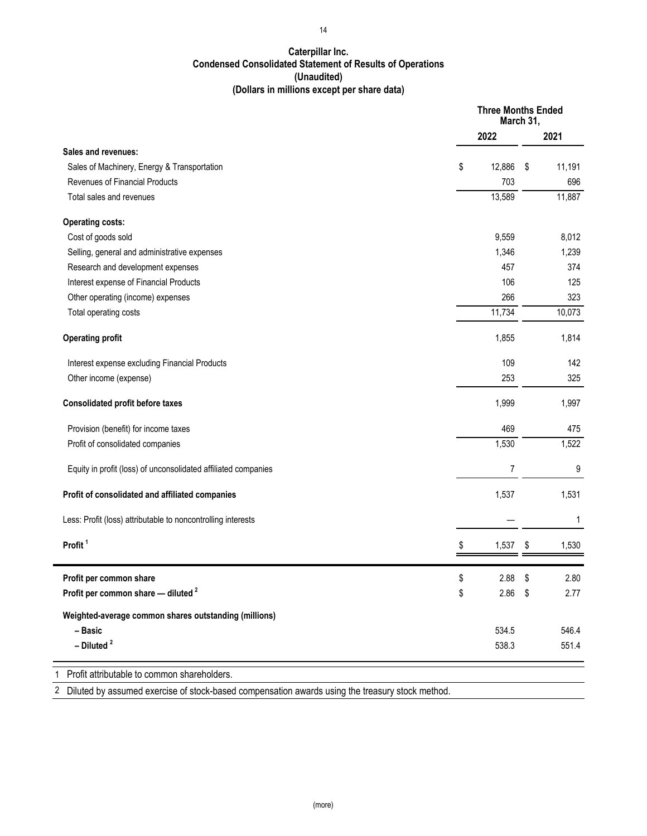#### **Caterpillar Inc. Condensed Consolidated Statement of Results of Operations (Unaudited) (Dollars in millions except per share data)**

|                                                                |              | <b>Three Months Ended</b><br>March 31, |        |  |
|----------------------------------------------------------------|--------------|----------------------------------------|--------|--|
|                                                                | 2022         |                                        | 2021   |  |
| Sales and revenues:                                            |              |                                        |        |  |
| Sales of Machinery, Energy & Transportation                    | \$<br>12,886 | \$                                     | 11,191 |  |
| <b>Revenues of Financial Products</b>                          | 703          |                                        | 696    |  |
| Total sales and revenues                                       | 13,589       |                                        | 11,887 |  |
| <b>Operating costs:</b>                                        |              |                                        |        |  |
| Cost of goods sold                                             | 9,559        |                                        | 8,012  |  |
| Selling, general and administrative expenses                   | 1,346        |                                        | 1,239  |  |
| Research and development expenses                              | 457          |                                        | 374    |  |
| Interest expense of Financial Products                         | 106          |                                        | 125    |  |
| Other operating (income) expenses                              | 266          |                                        | 323    |  |
| Total operating costs                                          | 11,734       |                                        | 10,073 |  |
| <b>Operating profit</b>                                        | 1,855        |                                        | 1,814  |  |
| Interest expense excluding Financial Products                  | 109          |                                        | 142    |  |
| Other income (expense)                                         | 253          |                                        | 325    |  |
| <b>Consolidated profit before taxes</b>                        | 1,999        |                                        | 1,997  |  |
| Provision (benefit) for income taxes                           | 469          |                                        | 475    |  |
| Profit of consolidated companies                               | 1,530        |                                        | 1,522  |  |
| Equity in profit (loss) of unconsolidated affiliated companies | 7            |                                        | 9      |  |
| Profit of consolidated and affiliated companies                | 1,537        |                                        | 1,531  |  |
| Less: Profit (loss) attributable to noncontrolling interests   |              |                                        | 1      |  |
| Profit <sup>1</sup>                                            | 1,537        | \$                                     | 1,530  |  |
| Profit per common share                                        | \$<br>2.88   | \$                                     | 2.80   |  |
| Profit per common share - diluted <sup>2</sup>                 | \$           | $2.86$ \$                              | 2.77   |  |
| Weighted-average common shares outstanding (millions)          |              |                                        |        |  |
| - Basic                                                        | 534.5        |                                        | 546.4  |  |
| $-$ Diluted $2$                                                | 538.3        |                                        | 551.4  |  |
| Profit attributable to common shareholders.                    |              |                                        |        |  |

2 Diluted by assumed exercise of stock-based compensation awards using the treasury stock method.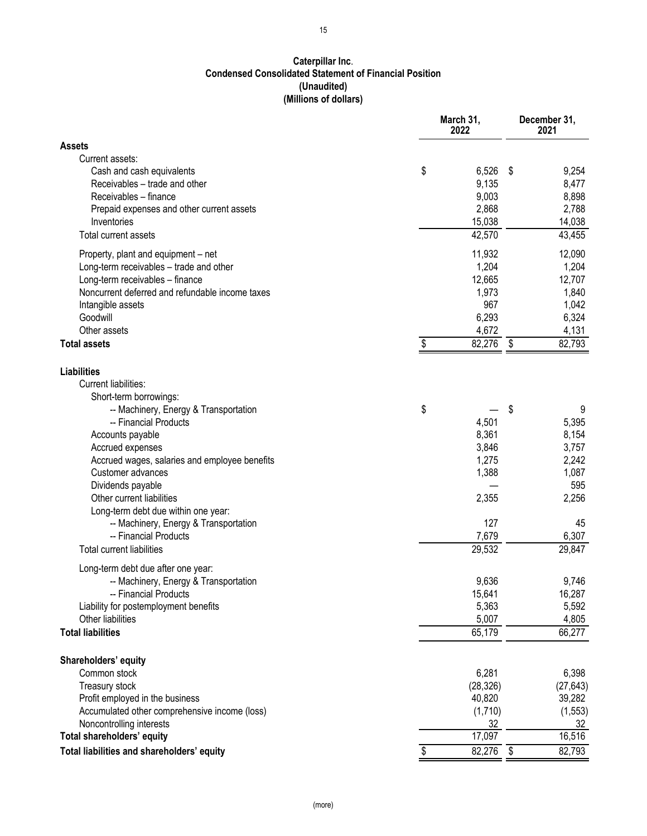### **Caterpillar Inc**. **Condensed Consolidated Statement of Financial Position (Unaudited) (Millions of dollars)**

|                                                                | March 31,<br>2022 |              | December 31,<br>2021    |                 |
|----------------------------------------------------------------|-------------------|--------------|-------------------------|-----------------|
| <b>Assets</b>                                                  |                   |              |                         |                 |
| Current assets:                                                |                   |              |                         |                 |
| Cash and cash equivalents                                      | \$                | 6,526        | \$                      | 9,254           |
| Receivables - trade and other                                  |                   | 9,135        |                         | 8,477           |
| Receivables - finance                                          |                   | 9,003        |                         | 8,898           |
| Prepaid expenses and other current assets                      |                   | 2,868        |                         | 2,788           |
| Inventories                                                    |                   | 15,038       |                         | 14,038          |
| Total current assets                                           |                   | 42,570       |                         | 43,455          |
| Property, plant and equipment - net                            |                   | 11,932       |                         | 12,090          |
| Long-term receivables - trade and other                        |                   | 1,204        |                         | 1,204           |
| Long-term receivables - finance                                |                   | 12,665       |                         | 12,707          |
| Noncurrent deferred and refundable income taxes                |                   | 1,973        |                         | 1,840           |
| Intangible assets                                              |                   | 967          |                         | 1,042           |
| Goodwill                                                       |                   | 6,293        |                         | 6,324           |
| Other assets                                                   |                   | 4,672        |                         | 4,131           |
| <b>Total assets</b>                                            | \$                | 82,276       | $\sqrt[6]{\frac{1}{2}}$ | 82,793          |
| <b>Liabilities</b>                                             |                   |              |                         |                 |
| Current liabilities:                                           |                   |              |                         |                 |
| Short-term borrowings:                                         |                   |              |                         |                 |
| -- Machinery, Energy & Transportation                          | \$                |              | \$                      | 9               |
| -- Financial Products                                          |                   | 4,501        |                         | 5,395           |
| Accounts payable                                               |                   | 8,361        |                         | 8,154           |
| Accrued expenses                                               |                   | 3,846        |                         | 3,757           |
| Accrued wages, salaries and employee benefits                  |                   | 1,275        |                         | 2,242           |
| Customer advances                                              |                   | 1,388        |                         | 1,087           |
| Dividends payable                                              |                   |              |                         | 595             |
| Other current liabilities                                      |                   | 2,355        |                         | 2,256           |
| Long-term debt due within one year:                            |                   |              |                         |                 |
| -- Machinery, Energy & Transportation                          |                   | 127          |                         | 45              |
| -- Financial Products                                          |                   | 7,679        |                         | 6,307           |
| <b>Total current liabilities</b>                               |                   | 29,532       |                         | 29,847          |
| Long-term debt due after one year:                             |                   | 9,636        |                         |                 |
| -- Machinery, Energy & Transportation<br>-- Financial Products |                   | 15,641       |                         | 9,746<br>16,287 |
| Liability for postemployment benefits                          |                   | 5,363        |                         | 5,592           |
| Other liabilities                                              |                   | 5,007        |                         | 4,805           |
| <b>Total liabilities</b>                                       |                   | 65,179       |                         | 66,277          |
|                                                                |                   |              |                         |                 |
| Shareholders' equity                                           |                   |              |                         |                 |
| Common stock                                                   |                   | 6,281        |                         | 6,398           |
| Treasury stock                                                 |                   | (28, 326)    |                         | (27, 643)       |
| Profit employed in the business                                |                   | 40,820       |                         | 39,282          |
| Accumulated other comprehensive income (loss)                  |                   | (1,710)      |                         | (1, 553)        |
| Noncontrolling interests                                       |                   | 32<br>17,097 |                         | 32<br>16,516    |
| Total shareholders' equity                                     |                   |              |                         |                 |
| Total liabilities and shareholders' equity                     | \$                | 82,276       | - \$                    | 82,793          |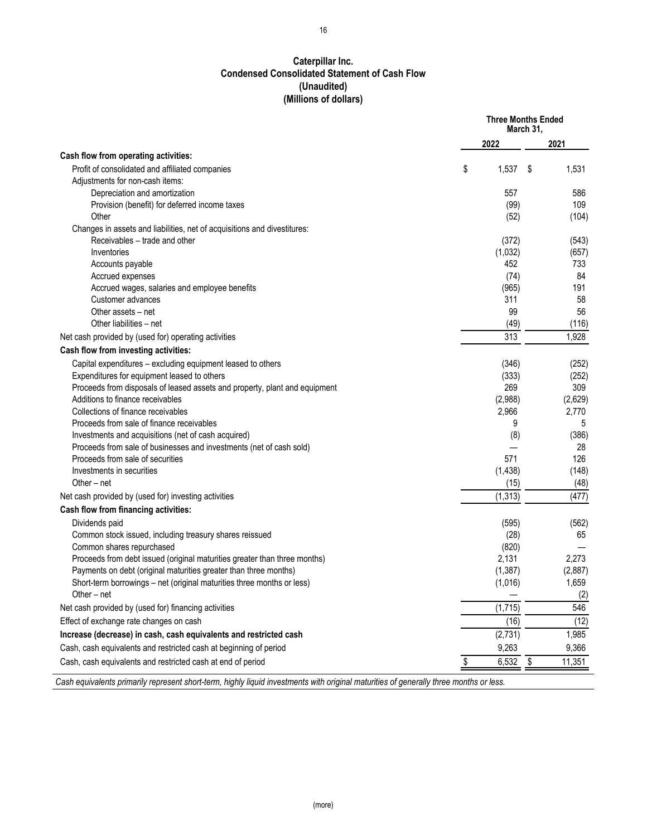### **Caterpillar Inc. Condensed Consolidated Statement of Cash Flow (Unaudited) (Millions of dollars)**

|                                                                            | <b>Three Months Ended</b><br>March 31. |    |         |
|----------------------------------------------------------------------------|----------------------------------------|----|---------|
|                                                                            | 2022                                   |    | 2021    |
| Cash flow from operating activities:                                       |                                        |    |         |
| Profit of consolidated and affiliated companies                            | \$<br>1,537                            | \$ | 1,531   |
| Adjustments for non-cash items:                                            |                                        |    |         |
| Depreciation and amortization                                              | 557                                    |    | 586     |
| Provision (benefit) for deferred income taxes                              | (99)                                   |    | 109     |
| Other                                                                      | (52)                                   |    | (104)   |
| Changes in assets and liabilities, net of acquisitions and divestitures:   |                                        |    |         |
| Receivables - trade and other                                              | (372)                                  |    | (543)   |
| Inventories                                                                | (1,032)                                |    | (657)   |
| Accounts payable                                                           | 452                                    |    | 733     |
| Accrued expenses                                                           | (74)                                   |    | 84      |
| Accrued wages, salaries and employee benefits                              | (965)                                  |    | 191     |
| Customer advances                                                          | 311                                    |    | 58      |
| Other assets - net                                                         | 99                                     |    | 56      |
| Other liabilities - net                                                    | (49)                                   |    | (116)   |
| Net cash provided by (used for) operating activities                       | 313                                    |    | 1,928   |
| Cash flow from investing activities:                                       |                                        |    |         |
| Capital expenditures - excluding equipment leased to others                | (346)                                  |    | (252)   |
| Expenditures for equipment leased to others                                | (333)                                  |    | (252)   |
| Proceeds from disposals of leased assets and property, plant and equipment | 269                                    |    | 309     |
| Additions to finance receivables                                           | (2,988)                                |    | (2,629) |
| Collections of finance receivables                                         | 2,966                                  |    | 2,770   |
| Proceeds from sale of finance receivables                                  | 9                                      |    | 5       |
| Investments and acquisitions (net of cash acquired)                        | (8)                                    |    | (386)   |
| Proceeds from sale of businesses and investments (net of cash sold)        |                                        |    | 28      |
| Proceeds from sale of securities                                           | 571                                    |    | 126     |
| Investments in securities                                                  | (1, 438)                               |    | (148)   |
| Other – net                                                                | (15)                                   |    | (48)    |
| Net cash provided by (used for) investing activities                       | (1, 313)                               |    | (477)   |
| Cash flow from financing activities:                                       |                                        |    |         |
| Dividends paid                                                             | (595)                                  |    | (562)   |
| Common stock issued, including treasury shares reissued                    | (28)                                   |    | 65      |
| Common shares repurchased                                                  | (820)                                  |    |         |
| Proceeds from debt issued (original maturities greater than three months)  | 2,131                                  |    | 2,273   |
| Payments on debt (original maturities greater than three months)           | (1, 387)                               |    | (2,887) |
| Short-term borrowings - net (original maturities three months or less)     | (1,016)                                |    | 1,659   |
| Other – net                                                                |                                        |    | (2)     |
| Net cash provided by (used for) financing activities                       | (1,715)                                |    | 546     |
| Effect of exchange rate changes on cash                                    | (16)                                   |    | (12)    |
| Increase (decrease) in cash, cash equivalents and restricted cash          | (2,731)                                |    | 1,985   |
| Cash, cash equivalents and restricted cash at beginning of period          | 9,263                                  |    | 9,366   |
| Cash, cash equivalents and restricted cash at end of period                | \$<br>6,532                            | \$ | 11,351  |

*Cash equivalents primarily represent short-term, highly liquid investments with original maturities of generally three months or less.*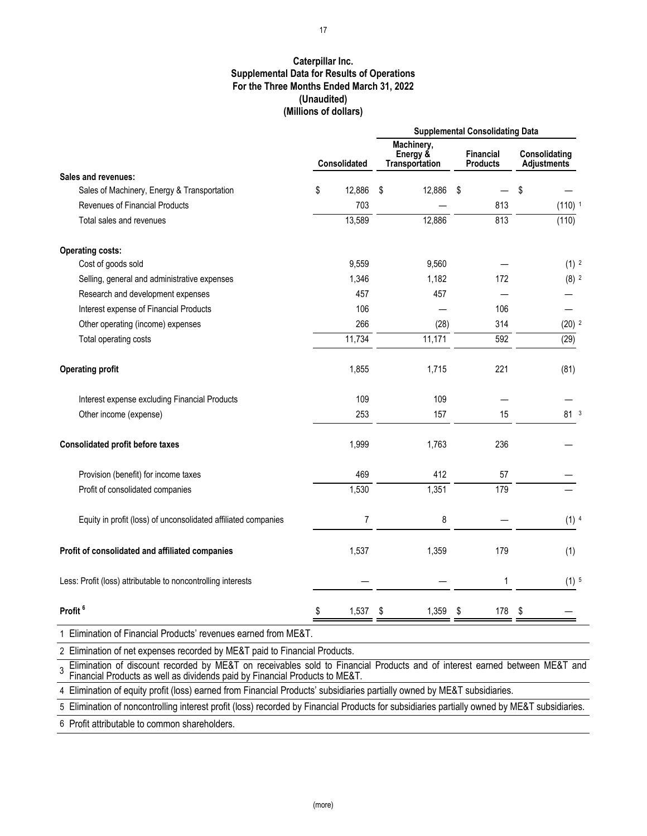#### **Caterpillar Inc. Supplemental Data for Results of Operations For the Three Months Ended March 31, 2022 (Unaudited) (Millions of dollars)**

|                                                                |              |        | Machinery,                 |                              |    |                                     |
|----------------------------------------------------------------|--------------|--------|----------------------------|------------------------------|----|-------------------------------------|
|                                                                | Consolidated |        | Energy &<br>Transportation | Financial<br><b>Products</b> |    | Consolidating<br><b>Adjustments</b> |
| Sales and revenues:                                            |              |        |                            |                              |    |                                     |
| Sales of Machinery, Energy & Transportation                    | \$           | 12,886 | \$<br>12,886               | \$                           | \$ |                                     |
| Revenues of Financial Products                                 |              | 703    |                            | 813                          |    | $(110)$ <sup>1</sup>                |
| Total sales and revenues                                       |              | 13,589 | 12,886                     | 813                          |    | (110)                               |
| <b>Operating costs:</b>                                        |              |        |                            |                              |    |                                     |
| Cost of goods sold                                             |              | 9,559  | 9,560                      |                              |    | $(1)$ 2                             |
| Selling, general and administrative expenses                   |              | 1,346  | 1,182                      | 172                          |    | $(8)$ 2                             |
| Research and development expenses                              |              | 457    | 457                        |                              |    |                                     |
| Interest expense of Financial Products                         |              | 106    |                            | 106                          |    |                                     |
| Other operating (income) expenses                              |              | 266    | (28)                       | 314                          |    | $(20)$ <sup>2</sup>                 |
| Total operating costs                                          |              | 11,734 | 11,171                     | 592                          |    | (29)                                |
| <b>Operating profit</b>                                        |              | 1,855  | 1,715                      | 221                          |    | (81)                                |
| Interest expense excluding Financial Products                  |              | 109    | 109                        |                              |    |                                     |
| Other income (expense)                                         |              | 253    | 157                        | 15                           |    | 813                                 |
| <b>Consolidated profit before taxes</b>                        |              | 1,999  | 1,763                      | 236                          |    |                                     |
| Provision (benefit) for income taxes                           |              | 469    | 412                        | 57                           |    |                                     |
| Profit of consolidated companies                               |              | 1,530  | 1,351                      | 179                          |    |                                     |
| Equity in profit (loss) of unconsolidated affiliated companies |              | 7      | 8                          |                              |    | $(1)$ <sup>4</sup>                  |
| Profit of consolidated and affiliated companies                |              | 1,537  | 1,359                      | 179                          |    | (1)                                 |
| Less: Profit (loss) attributable to noncontrolling interests   |              |        |                            | 1                            |    | $(1)$ 5                             |
| Profit <sup>6</sup>                                            | \$           | 1,537  | \$<br>1,359                | \$<br>178                    | \$ |                                     |

1 Elimination of Financial Products' revenues earned from ME&T.

2 Elimination of net expenses recorded by ME&T paid to Financial Products.

3 Elimination of discount recorded by ME&T on receivables sold to Financial Products and of interest earned between ME&T and Financial Products as well as dividends paid by Financial Products to ME&T.

4 Elimination of equity profit (loss) earned from Financial Products' subsidiaries partially owned by ME&T subsidiaries.

5 Elimination of noncontrolling interest profit (loss) recorded by Financial Products for subsidiaries partially owned by ME&T subsidiaries.

6 Profit attributable to common shareholders.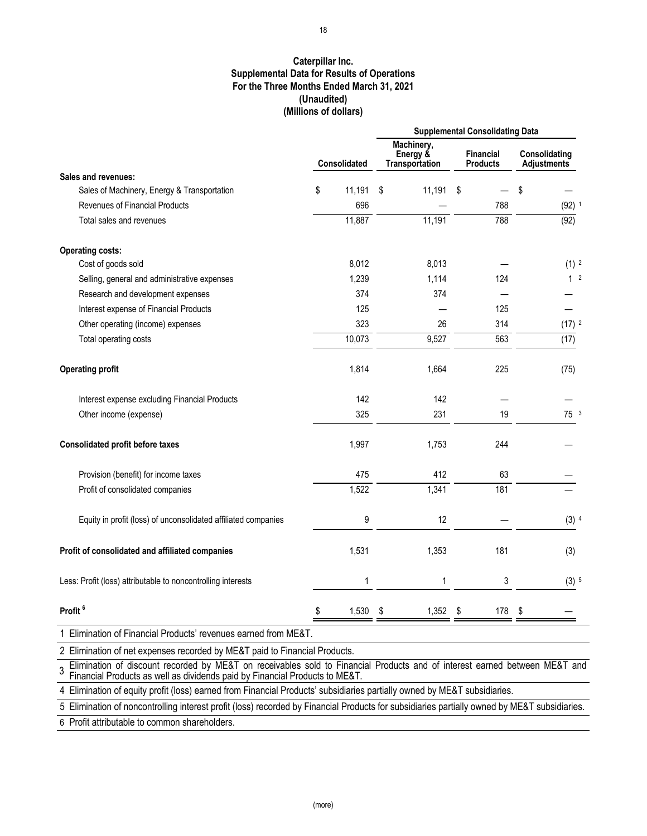#### **Caterpillar Inc. Supplemental Data for Results of Operations For the Three Months Ended March 31, 2021 (Unaudited) (Millions of dollars)**

|                                                                |              |        | <b>Supplemental Consolidating Data</b> |                                          |    |                              |                                     |                     |
|----------------------------------------------------------------|--------------|--------|----------------------------------------|------------------------------------------|----|------------------------------|-------------------------------------|---------------------|
|                                                                | Consolidated |        |                                        | Machinery,<br>Energy &<br>Transportation |    | Financial<br><b>Products</b> | Consolidating<br><b>Adjustments</b> |                     |
| Sales and revenues:                                            |              |        |                                        |                                          |    |                              |                                     |                     |
| Sales of Machinery, Energy & Transportation                    | \$           | 11,191 | \$                                     | 11,191                                   | \$ |                              | \$                                  |                     |
| Revenues of Financial Products                                 |              | 696    |                                        |                                          |    | 788                          |                                     | $(92)$ <sup>1</sup> |
| Total sales and revenues                                       |              | 11,887 |                                        | 11,191                                   |    | 788                          |                                     | (92)                |
| <b>Operating costs:</b>                                        |              |        |                                        |                                          |    |                              |                                     |                     |
| Cost of goods sold                                             |              | 8,012  |                                        | 8,013                                    |    |                              |                                     | $(1)$ 2             |
| Selling, general and administrative expenses                   |              | 1,239  |                                        | 1,114                                    |    | 124                          |                                     | 1 <sup>2</sup>      |
| Research and development expenses                              |              | 374    |                                        | 374                                      |    |                              |                                     |                     |
| Interest expense of Financial Products                         |              | 125    |                                        |                                          |    | 125                          |                                     |                     |
| Other operating (income) expenses                              |              | 323    |                                        | 26                                       |    | 314                          |                                     | $(17)$ <sup>2</sup> |
| Total operating costs                                          |              | 10,073 |                                        | 9,527                                    |    | 563                          |                                     | (17)                |
| <b>Operating profit</b>                                        |              | 1,814  |                                        | 1,664                                    |    | 225                          |                                     | (75)                |
| Interest expense excluding Financial Products                  |              | 142    |                                        | 142                                      |    |                              |                                     |                     |
| Other income (expense)                                         |              | 325    |                                        | 231                                      |    | 19                           |                                     | $75^{3}$            |
| <b>Consolidated profit before taxes</b>                        |              | 1,997  |                                        | 1,753                                    |    | 244                          |                                     |                     |
| Provision (benefit) for income taxes                           |              | 475    |                                        | 412                                      |    | 63                           |                                     |                     |
| Profit of consolidated companies                               |              | 1,522  |                                        | 1,341                                    |    | 181                          |                                     |                     |
| Equity in profit (loss) of unconsolidated affiliated companies |              | 9      |                                        | 12                                       |    |                              |                                     | $(3)$ 4             |
| Profit of consolidated and affiliated companies                |              | 1,531  |                                        | 1,353                                    |    | 181                          |                                     | (3)                 |
| Less: Profit (loss) attributable to noncontrolling interests   |              | 1      |                                        | 1                                        |    | 3                            |                                     | $(3)$ 5             |
| Profit <sup>6</sup>                                            |              | 1,530  | \$                                     | 1,352                                    | \$ | 178                          | \$                                  |                     |
|                                                                |              |        |                                        |                                          |    |                              |                                     |                     |

1 Elimination of Financial Products' revenues earned from ME&T.

2 Elimination of net expenses recorded by ME&T paid to Financial Products.

3 Elimination of discount recorded by ME&T on receivables sold to Financial Products and of interest earned between ME&T and Financial Products as well as dividends paid by Financial Products to ME&T.

4 Elimination of equity profit (loss) earned from Financial Products' subsidiaries partially owned by ME&T subsidiaries.

5 Elimination of noncontrolling interest profit (loss) recorded by Financial Products for subsidiaries partially owned by ME&T subsidiaries.

6 Profit attributable to common shareholders.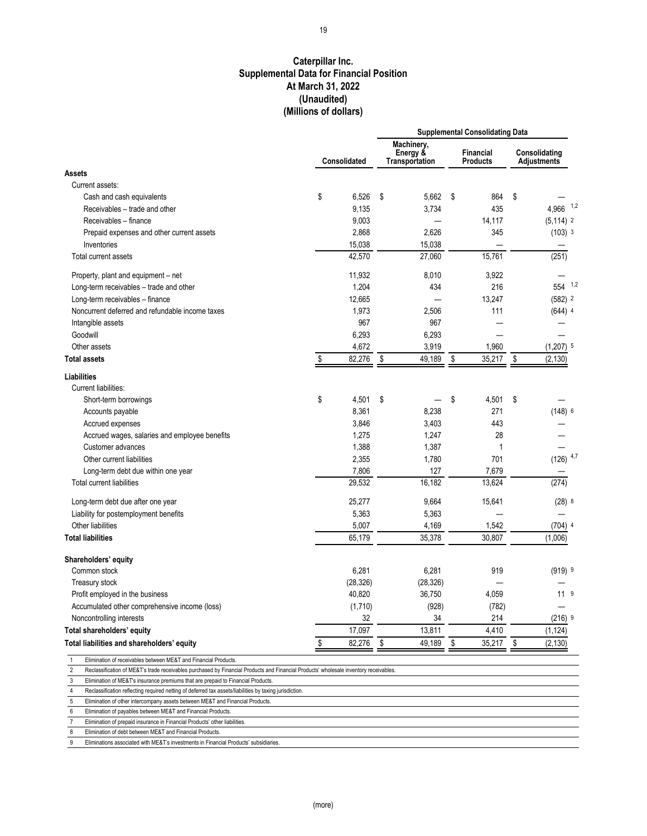# **Caterpillar Inc. Supplemental Data for Financial Position**

#### **At March 31, 2022 (Unaudited) (Millions of dollars)**

|                                                                                 |                     |           | <b>Supplemental Consolidating Data</b>          |    |                              |    |                              |
|---------------------------------------------------------------------------------|---------------------|-----------|-------------------------------------------------|----|------------------------------|----|------------------------------|
|                                                                                 | <b>Consolidated</b> |           | Machinerv.<br>Energy &<br><b>Transportation</b> |    | Financial<br><b>Products</b> |    | Consolidating<br>Adjustments |
| <b>Assets</b>                                                                   |                     |           |                                                 |    |                              |    |                              |
| Current assets:                                                                 |                     |           |                                                 |    |                              |    |                              |
| Cash and cash equivalents                                                       | \$                  | 6,526     | 5,662<br>\$                                     | \$ | 864                          | \$ |                              |
| Receivables - trade and other                                                   |                     | 9,135     | 3,734                                           |    | 435                          |    | $4,966$ $1,2$                |
| Receivables - finance                                                           |                     | 9,003     |                                                 |    | 14,117                       |    | $(5, 114)$ 2                 |
| Prepaid expenses and other current assets                                       |                     | 2.868     | 2.626                                           |    | 345                          |    | $(103)$ 3                    |
| Inventories                                                                     |                     | 15,038    | 15,038                                          |    |                              |    |                              |
| Total current assets                                                            |                     | 42,570    | 27,060                                          |    | 15.761                       |    | (251)                        |
| Property, plant and equipment - net                                             |                     | 11,932    | 8,010                                           |    | 3,922                        |    |                              |
| Long-term receivables - trade and other                                         |                     | 1,204     | 434                                             |    | 216                          |    | $554$ $1,2$                  |
| Long-term receivables - finance                                                 |                     | 12,665    |                                                 |    | 13,247                       |    | $(582)$ 2                    |
| Noncurrent deferred and refundable income taxes                                 |                     | 1,973     | 2,506                                           |    | 111                          |    | $(644)$ 4                    |
| Intangible assets                                                               |                     | 967       | 967                                             |    |                              |    |                              |
| Goodwill                                                                        |                     | 6,293     | 6.293                                           |    |                              |    |                              |
| Other assets                                                                    |                     | 4,672     | 3,919                                           |    | 1,960                        |    | $(1,207)$ 5                  |
| <b>Total assets</b>                                                             | \$                  | 82,276    | 49,189<br>\$                                    | \$ | 35,217                       | \$ | (2, 130)                     |
| <b>Liabilities</b>                                                              |                     |           |                                                 |    |                              |    |                              |
| <b>Current liabilities:</b>                                                     |                     |           |                                                 |    |                              |    |                              |
| Short-term borrowings                                                           | \$                  | 4,501     | \$                                              | \$ | 4,501                        | \$ |                              |
| Accounts payable                                                                |                     | 8,361     | 8,238                                           |    | 271                          |    | $(148)$ 6                    |
| Accrued expenses                                                                |                     | 3,846     | 3,403                                           |    | 443                          |    |                              |
| Accrued wages, salaries and employee benefits                                   |                     | 1,275     | 1,247                                           |    | 28                           |    |                              |
| Customer advances                                                               |                     | 1,388     | 1,387                                           |    | 1                            |    |                              |
| Other current liabilities                                                       |                     | 2,355     | 1,780                                           |    | 701                          |    | $(126)$ 4,7                  |
| Long-term debt due within one year                                              |                     | 7,806     | 127                                             |    | 7,679                        |    |                              |
| <b>Total current liabilities</b>                                                |                     | 29,532    | 16,182                                          |    | 13,624                       |    | (274)                        |
| Long-term debt due after one year                                               |                     | 25,277    | 9,664                                           |    | 15,641                       |    | $(28)$ 8                     |
| Liability for postemployment benefits                                           |                     | 5,363     | 5,363                                           |    |                              |    |                              |
| Other liabilities                                                               |                     | 5,007     | 4,169                                           |    | 1,542                        |    | $(704)$ 4                    |
| <b>Total liabilities</b>                                                        |                     | 65,179    | 35,378                                          |    | 30,807                       |    | (1,006)                      |
| Shareholders' equity                                                            |                     |           |                                                 |    |                              |    |                              |
| Common stock                                                                    |                     | 6,281     | 6,281                                           |    | 919                          |    | $(919)$ 9                    |
| Treasury stock                                                                  |                     | (28, 326) | (28, 326)                                       |    |                              |    |                              |
| Profit employed in the business                                                 |                     | 40,820    | 36,750                                          |    | 4,059                        |    | 119                          |
| Accumulated other comprehensive income (loss)                                   |                     | (1,710)   | (928)                                           |    | (782)                        |    |                              |
| Noncontrolling interests                                                        |                     | 32        | 34                                              |    | 214                          |    | $(216)$ 9                    |
| Total shareholders' equity                                                      |                     | 17,097    | 13,811                                          |    | 4,410                        |    | (1, 124)                     |
| Total liabilities and shareholders' equity                                      | \$                  | 82,276    | \$<br>49,189                                    | \$ | 35,217                       | \$ | (2, 130)                     |
| Elimination of receivables between ME&T and Financial Products.<br>$\mathbf{1}$ |                     |           |                                                 |    |                              |    |                              |

3 Elimination of ME&T's insurance premiums that are prepaid to Financial Products.

4 Reclassification reflecting required netting of deferred tax assets/liabilities by taxing jurisdiction.

5 Elimination of other intercompany assets between ME&T and Financial Products.

6 Elimination of payables between ME&T and Financial Products.

7 Elimination of prepaid insurance in Financial Products' other liabilities.

8 Elimination of debt between ME&T and Financial Products.

9 Eliminations associated with ME&T's investments in Financial Products' subsidiaries.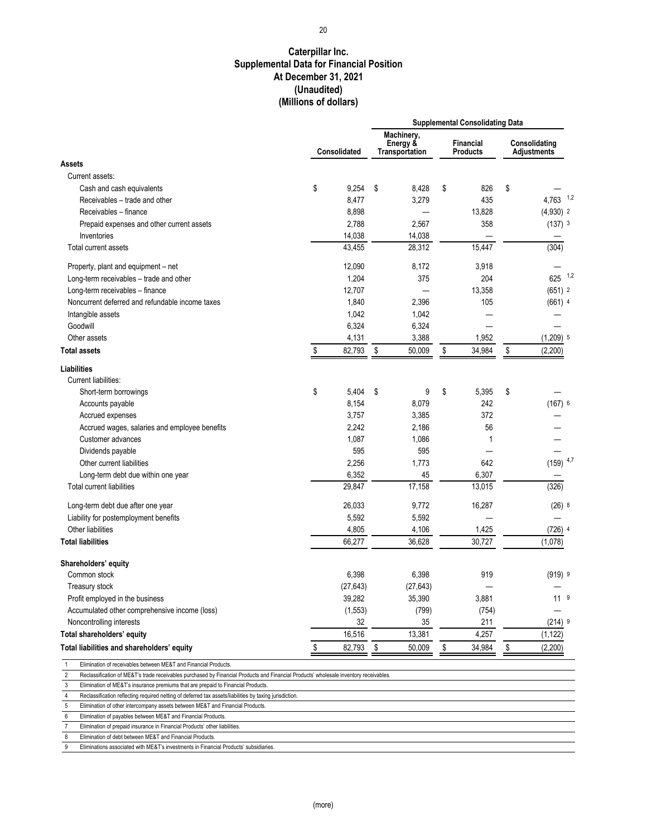#### **Caterpillar Inc. Supplemental Data for Financial Position At December 31, 2021 (Unaudited) (Millions of dollars)**

|                                                                                                                                                                                                                                                        |              | <b>Supplemental Consolidating Data</b> |                                          |    |                              |    |                              |
|--------------------------------------------------------------------------------------------------------------------------------------------------------------------------------------------------------------------------------------------------------|--------------|----------------------------------------|------------------------------------------|----|------------------------------|----|------------------------------|
|                                                                                                                                                                                                                                                        | Consolidated |                                        | Machinery,<br>Energy &<br>Transportation |    | Financial<br><b>Products</b> |    | Consolidating<br>Adjustments |
| <b>Assets</b>                                                                                                                                                                                                                                          |              |                                        |                                          |    |                              |    |                              |
| Current assets:                                                                                                                                                                                                                                        |              |                                        |                                          |    |                              |    |                              |
| Cash and cash equivalents                                                                                                                                                                                                                              | \$<br>9,254  | \$                                     | 8,428                                    | \$ | 826                          | \$ |                              |
| Receivables - trade and other                                                                                                                                                                                                                          | 8,477        |                                        | 3,279                                    |    | 435                          |    | $4,763$ $1,2$                |
| Receivables - finance                                                                                                                                                                                                                                  | 8,898        |                                        |                                          |    | 13,828                       |    | $(4,930)$ 2                  |
| Prepaid expenses and other current assets                                                                                                                                                                                                              | 2,788        |                                        | 2,567                                    |    | 358                          |    | $(137)$ 3                    |
| Inventories                                                                                                                                                                                                                                            | 14,038       |                                        | 14,038                                   |    |                              |    |                              |
| <b>Total current assets</b>                                                                                                                                                                                                                            | 43,455       |                                        | 28,312                                   |    | 15,447                       |    | (304)                        |
| Property, plant and equipment - net                                                                                                                                                                                                                    | 12,090       |                                        | 8,172                                    |    | 3,918                        |    |                              |
| Long-term receivables - trade and other                                                                                                                                                                                                                | 1,204        |                                        | 375                                      |    | 204                          |    | $625$ $1,2$                  |
| Long-term receivables - finance                                                                                                                                                                                                                        | 12,707       |                                        |                                          |    | 13,358                       |    | $(651)$ 2                    |
| Noncurrent deferred and refundable income taxes                                                                                                                                                                                                        | 1,840        |                                        | 2,396                                    |    | 105                          |    | $(661)$ 4                    |
| Intangible assets                                                                                                                                                                                                                                      | 1,042        |                                        | 1,042                                    |    |                              |    |                              |
| Goodwill                                                                                                                                                                                                                                               | 6,324        |                                        | 6,324                                    |    |                              |    |                              |
| Other assets                                                                                                                                                                                                                                           | 4,131        |                                        | 3,388                                    |    | 1,952                        |    | $(1,209)$ 5                  |
| <b>Total assets</b>                                                                                                                                                                                                                                    | \$<br>82,793 | \$                                     | 50,009                                   | \$ | 34,984                       | \$ | (2, 200)                     |
| <b>Liabilities</b>                                                                                                                                                                                                                                     |              |                                        |                                          |    |                              |    |                              |
| Current liabilities:                                                                                                                                                                                                                                   |              |                                        |                                          |    |                              |    |                              |
| Short-term borrowings                                                                                                                                                                                                                                  | \$<br>5,404  | \$                                     | 9                                        | \$ | 5,395                        | \$ |                              |
| Accounts payable                                                                                                                                                                                                                                       | 8,154        |                                        | 8,079                                    |    | 242                          |    | $(167)$ 6                    |
| Accrued expenses                                                                                                                                                                                                                                       | 3,757        |                                        | 3,385                                    |    | 372                          |    |                              |
| Accrued wages, salaries and employee benefits                                                                                                                                                                                                          | 2,242        |                                        | 2,186                                    |    | 56                           |    |                              |
| Customer advances                                                                                                                                                                                                                                      | 1,087        |                                        | 1,086                                    |    | 1                            |    |                              |
| Dividends payable                                                                                                                                                                                                                                      | 595          |                                        | 595                                      |    |                              |    |                              |
| Other current liabilities                                                                                                                                                                                                                              | 2,256        |                                        | 1,773                                    |    | 642                          |    | $(159)$ 4,7                  |
| Long-term debt due within one year                                                                                                                                                                                                                     | 6,352        |                                        | 45                                       |    | 6,307                        |    |                              |
| <b>Total current liabilities</b>                                                                                                                                                                                                                       | 29,847       |                                        | 17,158                                   |    | 13,015                       |    | (326)                        |
| Long-term debt due after one year                                                                                                                                                                                                                      | 26,033       |                                        | 9,772                                    |    | 16,287                       |    | $(26)$ 8                     |
| Liability for postemployment benefits                                                                                                                                                                                                                  | 5,592        |                                        | 5,592                                    |    |                              |    |                              |
| Other liabilities                                                                                                                                                                                                                                      | 4,805        |                                        | 4,106                                    |    | 1,425                        |    | $(726)$ 4                    |
| <b>Total liabilities</b>                                                                                                                                                                                                                               | 66,277       |                                        | 36,628                                   |    | 30.727                       |    | (1,078)                      |
| Shareholders' equity                                                                                                                                                                                                                                   |              |                                        |                                          |    |                              |    |                              |
| Common stock                                                                                                                                                                                                                                           | 6,398        |                                        | 6,398                                    |    | 919                          |    | $(919)$ 9                    |
| Treasury stock                                                                                                                                                                                                                                         | (27, 643)    |                                        | (27, 643)                                |    |                              |    |                              |
| Profit employed in the business                                                                                                                                                                                                                        | 39,282       |                                        | 35,390                                   |    | 3,881                        |    | 119                          |
| Accumulated other comprehensive income (loss)                                                                                                                                                                                                          | (1, 553)     |                                        | (799)                                    |    | (754)                        |    |                              |
| Noncontrolling interests                                                                                                                                                                                                                               | 32           |                                        | 35                                       |    | 211                          |    | $(214)$ 9                    |
| Total shareholders' equity                                                                                                                                                                                                                             | 16,516       |                                        | 13,381                                   |    | 4,257                        |    | (1, 122)                     |
| Total liabilities and shareholders' equity                                                                                                                                                                                                             | \$<br>82,793 | \$                                     | 50,009                                   | \$ | 34,984                       | \$ | (2,200)                      |
| Elimination of receivables between ME&T and Financial Products.<br>$\mathbf{1}$                                                                                                                                                                        |              |                                        |                                          |    |                              |    |                              |
| $\sqrt{2}$<br>Reclassification of ME&T's trade receivables purchased by Financial Products and Financial Products' wholesale inventory receivables.<br>$\mathsf 3$<br>Elimination of ME&T's insurance premiums that are prepaid to Financial Products. |              |                                        |                                          |    |                              |    |                              |

4 Reclassification reflecting required netting of deferred tax assets/liabilities by taxing jurisdiction.

5 Elimination of other intercompany assets between ME&T and Financial Products.

6 Elimination of payables between ME&T and Financial Products.

7 Elimination of prepaid insurance in Financial Products' other liabilities.

8 Elimination of debt between ME&T and Financial Products.

9 Eliminations associated with ME&T's investments in Financial Products' subsidiaries.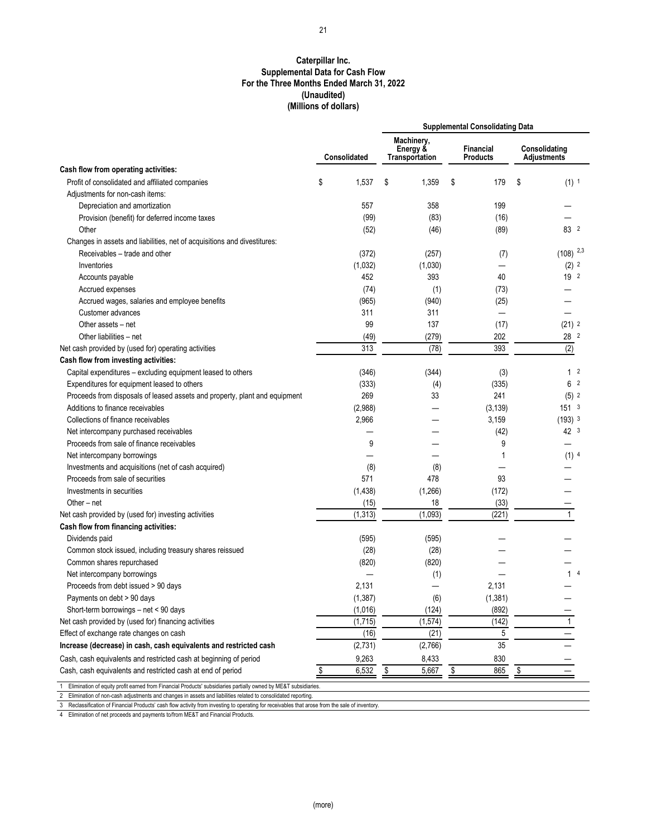#### **Caterpillar Inc. Supplemental Data for Cash Flow For the Three Months Ended March 31, 2022 (Unaudited) (Millions of dollars)**

|                                                                            |                     | <b>Supplemental Consolidating Data</b>   |                              |                              |
|----------------------------------------------------------------------------|---------------------|------------------------------------------|------------------------------|------------------------------|
|                                                                            | <b>Consolidated</b> | Machinery,<br>Energy &<br>Transportation | Financial<br><b>Products</b> | Consolidating<br>Adjustments |
| Cash flow from operating activities:                                       |                     |                                          |                              |                              |
| Profit of consolidated and affiliated companies                            | \$<br>1,537         | \$<br>1,359                              | \$<br>179                    | $(1)$ 1<br>\$                |
| Adjustments for non-cash items:                                            |                     |                                          |                              |                              |
| Depreciation and amortization                                              | 557                 | 358                                      | 199                          |                              |
| Provision (benefit) for deferred income taxes                              | (99)                | (83)                                     | (16)                         |                              |
| Other                                                                      | (52)                | (46)                                     | (89)                         | 83 2                         |
| Changes in assets and liabilities, net of acquisitions and divestitures:   |                     |                                          |                              |                              |
| Receivables - trade and other                                              | (372)               | (257)                                    | (7)                          | $(108)$ <sup>2,3</sup>       |
| Inventories                                                                | (1,032)             | (1,030)                                  |                              | $(2)$ 2                      |
| Accounts payable                                                           | 452                 | 393                                      | 40                           | $19^{2}$                     |
| Accrued expenses                                                           | (74)                | (1)                                      | (73)                         |                              |
| Accrued wages, salaries and employee benefits                              | (965)               | (940)                                    | (25)                         |                              |
| Customer advances                                                          | 311                 | 311                                      | $\overline{\phantom{0}}$     |                              |
| Other assets - net                                                         | 99                  | 137                                      | (17)                         | $(21)$ 2                     |
| Other liabilities - net                                                    | (49)                | (279)                                    | 202                          | 28 2                         |
| Net cash provided by (used for) operating activities                       | 313                 | (78)                                     | 393                          | (2)                          |
| Cash flow from investing activities:                                       |                     |                                          |                              |                              |
| Capital expenditures - excluding equipment leased to others                | (346)               | (344)                                    | (3)                          | 1 <sup>2</sup>               |
| Expenditures for equipment leased to others                                | (333)               | (4)                                      | (335)                        | $\overline{2}$<br>6          |
| Proceeds from disposals of leased assets and property, plant and equipment | 269                 | 33                                       | 241                          | $(5)$ 2                      |
| Additions to finance receivables                                           | (2,988)             |                                          | (3, 139)                     | 1513                         |
| Collections of finance receivables                                         | 2,966               |                                          | 3,159                        | $(193)$ 3                    |
| Net intercompany purchased receivables                                     |                     |                                          | (42)                         | 42 3                         |
| Proceeds from sale of finance receivables                                  | 9                   |                                          | 9                            |                              |
| Net intercompany borrowings                                                |                     |                                          | 1                            | $(1)$ 4                      |
| Investments and acquisitions (net of cash acquired)                        | (8)                 | (8)                                      |                              |                              |
| Proceeds from sale of securities                                           | 571                 | 478                                      | 93                           |                              |
| Investments in securities                                                  | (1, 438)            | (1,266)                                  | (172)                        |                              |
| Other – net                                                                | (15)                | 18                                       | (33)                         |                              |
| Net cash provided by (used for) investing activities                       | (1, 313)            | (1,093)                                  | (221)                        |                              |
| Cash flow from financing activities:                                       |                     |                                          |                              |                              |
| Dividends paid                                                             | (595)               | (595)                                    |                              |                              |
| Common stock issued, including treasury shares reissued                    | (28)                | (28)                                     |                              |                              |
| Common shares repurchased                                                  | (820)               | (820)                                    |                              |                              |
| Net intercompany borrowings                                                |                     | (1)                                      |                              |                              |
| Proceeds from debt issued > 90 days                                        | 2,131               |                                          | 2,131                        |                              |
| Payments on debt > 90 days                                                 | (1, 387)            | (6)                                      | (1, 381)                     |                              |
| Short-term borrowings - net < 90 days                                      | (1,016)             | (124)                                    | (892)                        |                              |
| Net cash provided by (used for) financing activities                       | (1,715)             | (1, 574)                                 | (142)                        |                              |
| Effect of exchange rate changes on cash                                    | (16)                | (21)                                     | 5                            |                              |
| Increase (decrease) in cash, cash equivalents and restricted cash          | (2,731)             | (2,766)                                  | 35                           |                              |
| Cash, cash equivalents and restricted cash at beginning of period          | 9,263               | 8,433                                    | 830                          |                              |
| Cash, cash equivalents and restricted cash at end of period                | 6,532<br>\$         | $\frac{\$}{}$<br>5,667                   | 865<br>$\frac{\$}{}$         | $\frac{\$}{}$                |
|                                                                            |                     |                                          |                              |                              |

1 Elimination of equity profit earned from Financial Products' subsidiaries partially owned by ME&T subsidiaries.

2 Elimination of non-cash adjustments and changes in assets and liabilities related to consolidated reporting.

3 Reclassification of Financial Products' cash flow activity from investing to operating for receivables that arose from the sale of inventory.

4 Elimination of net proceeds and payments to/from ME&T and Financial Products.